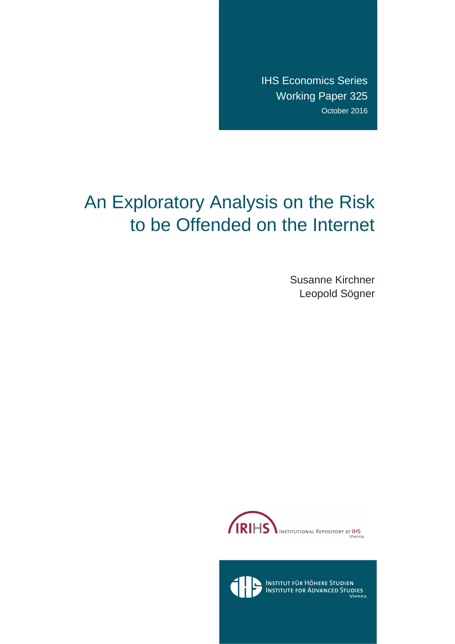IHS Economics Series Working Paper 325 October 2016

# An Exploratory Analysis on the Risk to be Offended on the Internet

Susanne Kirchner Leopold Sögner





Institut für Höhere Studien<br>Institute for Advanced Studies<br><sub>Vienna</sub>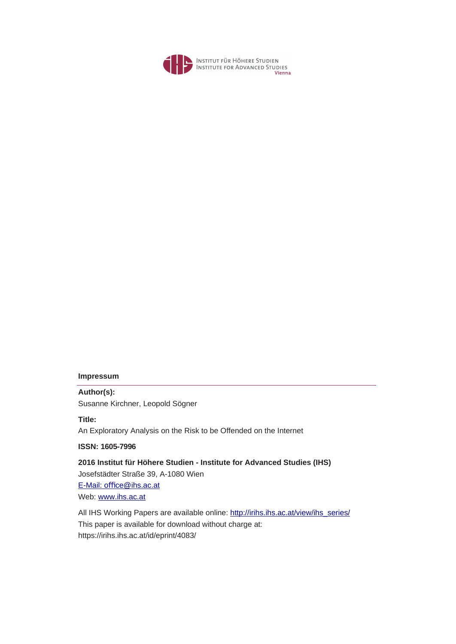

#### **Impressum**

**Author(s):** Susanne Kirchner, Leopold Sögner

**Title:**

An Exploratory Analysis on the Risk to be Offended on the Internet

**ISSN: 1605-7996** 

**2016 Institut für Höhere Studien - Institute for Advanced Studies (IHS)** Josefstädter Straße 39, A-1080 Wie[n](mailto:o%EF%AC%83ce@ihs.ac.at) E-Mail: office@ihs.ac.at Web: www.ihs.ac.at

All IHS Working Papers are available online: http://irihs.ihs.ac.at/view/ihs\_series/ This paper is available for download without charge at: https://irihs.ihs.ac.at/id/eprint/4083/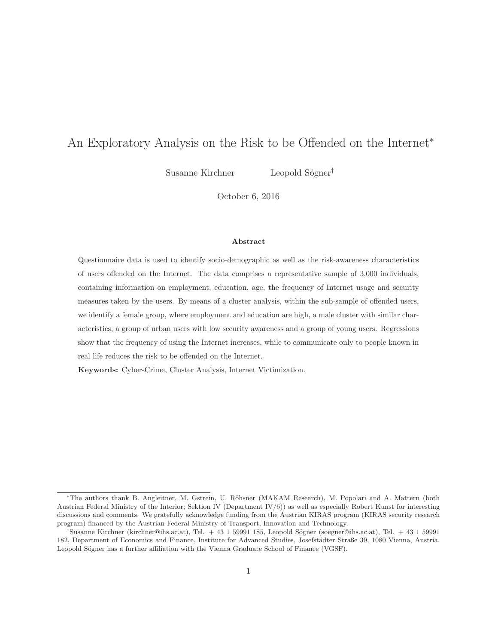## An Exploratory Analysis on the Risk to be Offended on the Internet<sup>∗</sup>

Susanne Kirchner Leopold Sögner<sup>†</sup>

October 6, 2016

#### **Abstract**

Questionnaire data is used to identify socio-demographic as well as the risk-awareness characteristics of users offended on the Internet. The data comprises a representative sample of 3,000 individuals, containing information on employment, education, age, the frequency of Internet usage and security measures taken by the users. By means of a cluster analysis, within the sub-sample of offended users, we identify a female group, where employment and education are high, a male cluster with similar characteristics, a group of urban users with low security awareness and a group of young users. Regressions show that the frequency of using the Internet increases, while to communicate only to people known in real life reduces the risk to be offended on the Internet.

**Keywords:** Cyber-Crime, Cluster Analysis, Internet Victimization.

<sup>∗</sup>The authors thank B. Angleitner, M. Gstrein, U. R¨ohsner (MAKAM Research), M. Popolari and A. Mattern (both Austrian Federal Ministry of the Interior; Sektion IV (Department  $IV(6)$ ) as well as especially Robert Kunst for interesting discussions and comments. We gratefully acknowledge funding from the Austrian KIRAS program (KIRAS security research program) financed by the Austrian Federal Ministry of Transport, Innovation and Technology.

<sup>&</sup>lt;sup>†</sup>Susanne Kirchner (kirchner@ihs.ac.at), Tel. + 43 1 59991 185, Leopold Sögner (soegner@ihs.ac.at), Tel. + 43 1 59991 182, Department of Economics and Finance, Institute for Advanced Studies, Josefstädter Straße 39, 1080 Vienna, Austria. Leopold Sögner has a further affiliation with the Vienna Graduate School of Finance (VGSF).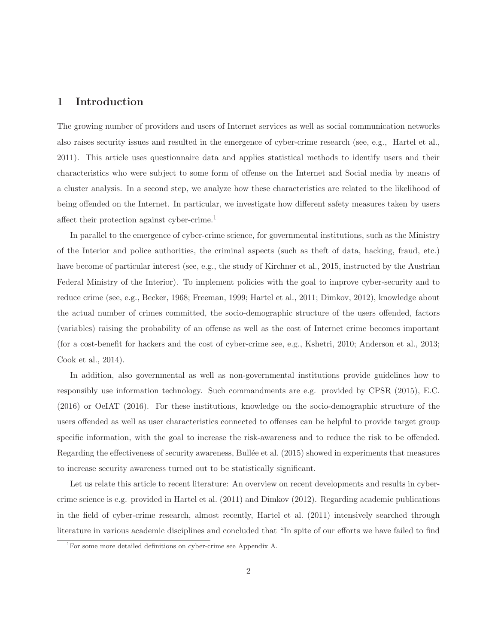#### **1 Introduction**

The growing number of providers and users of Internet services as well as social communication networks also raises security issues and resulted in the emergence of cyber-crime research (see, e.g., Hartel et al., 2011). This article uses questionnaire data and applies statistical methods to identify users and their characteristics who were subject to some form of offense on the Internet and Social media by means of a cluster analysis. In a second step, we analyze how these characteristics are related to the likelihood of being offended on the Internet. In particular, we investigate how different safety measures taken by users affect their protection against cyber-crime.<sup>1</sup>

In parallel to the emergence of cyber-crime science, for governmental institutions, such as the Ministry of the Interior and police authorities, the criminal aspects (such as theft of data, hacking, fraud, etc.) have become of particular interest (see, e.g., the study of Kirchner et al., 2015, instructed by the Austrian Federal Ministry of the Interior). To implement policies with the goal to improve cyber-security and to reduce crime (see, e.g., Becker, 1968; Freeman, 1999; Hartel et al., 2011; Dimkov, 2012), knowledge about the actual number of crimes committed, the socio-demographic structure of the users offended, factors (variables) raising the probability of an offense as well as the cost of Internet crime becomes important (for a cost-benefit for hackers and the cost of cyber-crime see, e.g., Kshetri, 2010; Anderson et al., 2013; Cook et al., 2014).

In addition, also governmental as well as non-governmental institutions provide guidelines how to responsibly use information technology. Such commandments are e.g. provided by CPSR (2015), E.C. (2016) or OeIAT (2016). For these institutions, knowledge on the socio-demographic structure of the users offended as well as user characteristics connected to offenses can be helpful to provide target group specific information, with the goal to increase the risk-awareness and to reduce the risk to be offended. Regarding the effectiveness of security awareness, Bullée et al. (2015) showed in experiments that measures to increase security awareness turned out to be statistically significant.

Let us relate this article to recent literature: An overview on recent developments and results in cybercrime science is e.g. provided in Hartel et al. (2011) and Dimkov (2012). Regarding academic publications in the field of cyber-crime research, almost recently, Hartel et al. (2011) intensively searched through literature in various academic disciplines and concluded that "In spite of our efforts we have failed to find

<sup>1</sup>For some more detailed definitions on cyber-crime see Appendix A.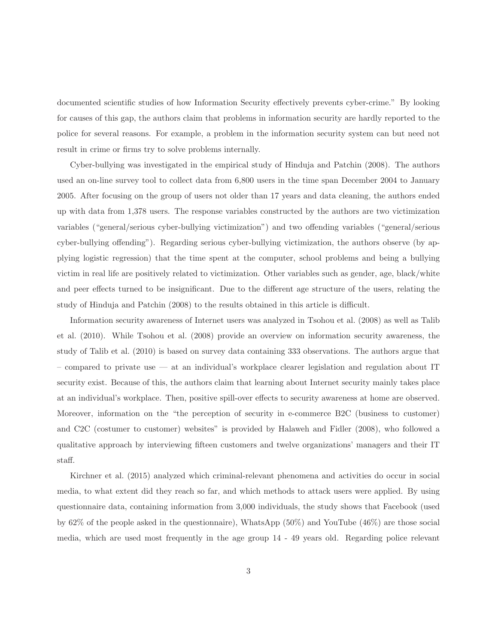documented scientific studies of how Information Security effectively prevents cyber-crime." By looking for causes of this gap, the authors claim that problems in information security are hardly reported to the police for several reasons. For example, a problem in the information security system can but need not result in crime or firms try to solve problems internally.

Cyber-bullying was investigated in the empirical study of Hinduja and Patchin (2008). The authors used an on-line survey tool to collect data from 6,800 users in the time span December 2004 to January 2005. After focusing on the group of users not older than 17 years and data cleaning, the authors ended up with data from 1,378 users. The response variables constructed by the authors are two victimization variables ("general/serious cyber-bullying victimization") and two offending variables ("general/serious cyber-bullying offending"). Regarding serious cyber-bullying victimization, the authors observe (by applying logistic regression) that the time spent at the computer, school problems and being a bullying victim in real life are positively related to victimization. Other variables such as gender, age, black/white and peer effects turned to be insignificant. Due to the different age structure of the users, relating the study of Hinduja and Patchin (2008) to the results obtained in this article is difficult.

Information security awareness of Internet users was analyzed in Tsohou et al. (2008) as well as Talib et al. (2010). While Tsohou et al. (2008) provide an overview on information security awareness, the study of Talib et al. (2010) is based on survey data containing 333 observations. The authors argue that – compared to private use — at an individual's workplace clearer legislation and regulation about IT security exist. Because of this, the authors claim that learning about Internet security mainly takes place at an individual's workplace. Then, positive spill-over effects to security awareness at home are observed. Moreover, information on the "the perception of security in e-commerce B2C (business to customer) and C2C (costumer to customer) websites" is provided by Halaweh and Fidler (2008), who followed a qualitative approach by interviewing fifteen customers and twelve organizations' managers and their IT staff.

Kirchner et al. (2015) analyzed which criminal-relevant phenomena and activities do occur in social media, to what extent did they reach so far, and which methods to attack users were applied. By using questionnaire data, containing information from 3,000 individuals, the study shows that Facebook (used by 62% of the people asked in the questionnaire), WhatsApp (50%) and YouTube (46%) are those social media, which are used most frequently in the age group 14 - 49 years old. Regarding police relevant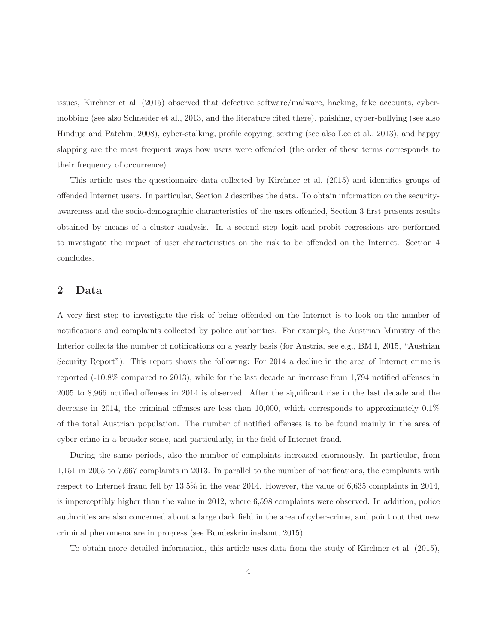issues, Kirchner et al. (2015) observed that defective software/malware, hacking, fake accounts, cybermobbing (see also Schneider et al., 2013, and the literature cited there), phishing, cyber-bullying (see also Hinduja and Patchin, 2008), cyber-stalking, profile copying, sexting (see also Lee et al., 2013), and happy slapping are the most frequent ways how users were offended (the order of these terms corresponds to their frequency of occurrence).

This article uses the questionnaire data collected by Kirchner et al. (2015) and identifies groups of offended Internet users. In particular, Section 2 describes the data. To obtain information on the securityawareness and the socio-demographic characteristics of the users offended, Section 3 first presents results obtained by means of a cluster analysis. In a second step logit and probit regressions are performed to investigate the impact of user characteristics on the risk to be offended on the Internet. Section 4 concludes.

### **2 Data**

A very first step to investigate the risk of being offended on the Internet is to look on the number of notifications and complaints collected by police authorities. For example, the Austrian Ministry of the Interior collects the number of notifications on a yearly basis (for Austria, see e.g., BM.I, 2015, "Austrian Security Report"). This report shows the following: For 2014 a decline in the area of Internet crime is reported (-10.8% compared to 2013), while for the last decade an increase from 1,794 notified offenses in 2005 to 8,966 notified offenses in 2014 is observed. After the significant rise in the last decade and the decrease in 2014, the criminal offenses are less than 10,000, which corresponds to approximately 0.1% of the total Austrian population. The number of notified offenses is to be found mainly in the area of cyber-crime in a broader sense, and particularly, in the field of Internet fraud.

During the same periods, also the number of complaints increased enormously. In particular, from 1,151 in 2005 to 7,667 complaints in 2013. In parallel to the number of notifications, the complaints with respect to Internet fraud fell by 13.5% in the year 2014. However, the value of 6,635 complaints in 2014, is imperceptibly higher than the value in 2012, where 6,598 complaints were observed. In addition, police authorities are also concerned about a large dark field in the area of cyber-crime, and point out that new criminal phenomena are in progress (see Bundeskriminalamt, 2015).

To obtain more detailed information, this article uses data from the study of Kirchner et al. (2015),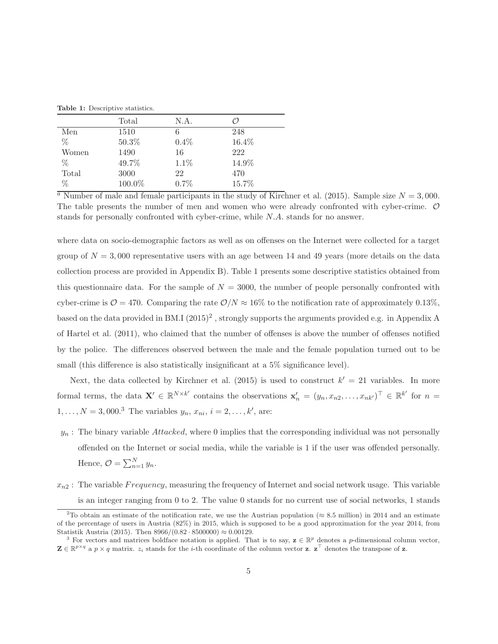|       | Total  | N.A. | (′)   |
|-------|--------|------|-------|
| Men   | 1510   | 6    | 248   |
| $\%$  | 50.3%  | 0.4% | 16.4% |
| Women | 1490   | 16   | 222   |
| $\%$  | 49.7%  | 1.1% | 14.9% |
| Total | 3000   | 22   | 470   |
| $\%$  | 100.0% | 0.7% | 15.7% |

<sup>a</sup> Number of male and female participants in the study of Kirchner et al. (2015). Sample size  $N = 3,000$ . The table presents the number of men and women who were already confronted with cyber-crime. O stands for personally confronted with cyber-crime, while N.A. stands for no answer.

where data on socio-demographic factors as well as on offenses on the Internet were collected for a target group of  $N = 3,000$  representative users with an age between 14 and 49 years (more details on the data collection process are provided in Appendix B). Table 1 presents some descriptive statistics obtained from this questionnaire data. For the sample of  $N = 3000$ , the number of people personally confronted with cyber-crime is  $\mathcal{O} = 470$ . Comparing the rate  $\mathcal{O}/N \approx 16\%$  to the notification rate of approximately 0.13%, based on the data provided in BM.I  $(2015)^2$ , strongly supports the arguments provided e.g. in Appendix A of Hartel et al. (2011), who claimed that the number of offenses is above the number of offenses notified by the police. The differences observed between the male and the female population turned out to be small (this difference is also statistically insignificant at a 5% significance level).

Next, the data collected by Kirchner et al. (2015) is used to construct  $k' = 21$  variables. In more formal terms, the data  $\mathbf{X}' \in \mathbb{R}^{N \times k'}$  contains the observations  $\mathbf{x}'_n = (y_n, x_{n2}, \dots, x_{nk'})^\top \in \mathbb{R}^{k'}$  for  $n =$  $1, \ldots, N = 3,000.^3$  The variables  $y_n, x_{ni}, i = 2, \ldots, k'$ , are:

- $y_n$ : The binary variable Attacked, where 0 implies that the corresponding individual was not personally offended on the Internet or social media, while the variable is 1 if the user was offended personally. Hence,  $\mathcal{O} = \sum_{n=1}^{N} y_n$ .
- $x_{n2}$ : The variable F requency, measuring the frequency of Internet and social network usage. This variable is an integer ranging from 0 to 2. The value 0 stands for no current use of social networks, 1 stands

<sup>&</sup>lt;sup>2</sup>To obtain an estimate of the notification rate, we use the Austrian population ( $\approx 8.5$  million) in 2014 and an estimate of the percentage of users in Austria (82%) in 2015, which is supposed to be a good approximation for the year 2014, from Statistik Austria (2015). Then 8966/(0.82 · 8500000) ≈ 0.00129.<br><sup>3</sup> For vectors and matrices boldface notation is applied. That is to say, **z** ∈ R<sup>p</sup> denotes a p-dimensional column vector,

 $\mathbf{Z} \in \mathbb{R}^{p \times q}$  a  $p \times q$  matrix.  $z_i$  stands for the *i*-th coordinate of the column vector **z**.  $\mathbf{z}^{\top}$  denotes the transpose of **z**.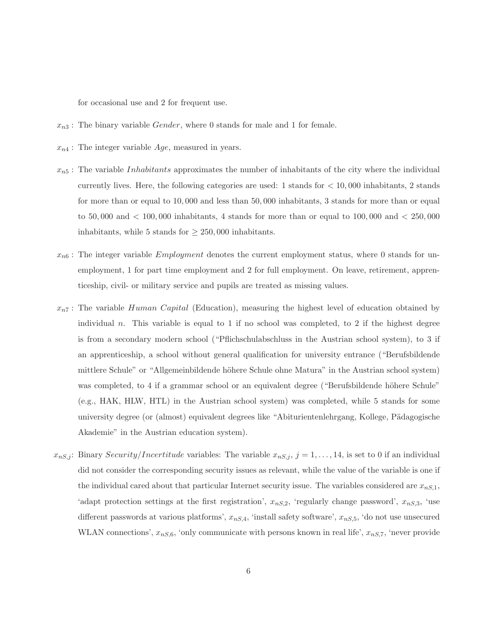for occasional use and 2 for frequent use.

- $x_{n3}$ : The binary variable *Gender*, where 0 stands for male and 1 for female.
- $x_{n4}$ : The integer variable  $Age$ , measured in years.
- $x_{n5}$ : The variable *Inhabitants* approximates the number of inhabitants of the city where the individual currently lives. Here, the following categories are used: 1 stands for  $< 10,000$  inhabitants, 2 stands for more than or equal to 10, 000 and less than 50, 000 inhabitants, 3 stands for more than or equal to 50,000 and  $\lt$  100,000 inhabitants, 4 stands for more than or equal to 100,000 and  $\lt$  250,000 inhabitants, while 5 stands for  $\geq 250,000$  inhabitants.
- $x_{n6}$ : The integer variable *Employment* denotes the current employment status, where 0 stands for unemployment, 1 for part time employment and 2 for full employment. On leave, retirement, apprenticeship, civil- or military service and pupils are treated as missing values.
- $x_{n7}$ : The variable Human Capital (Education), measuring the highest level of education obtained by individual n. This variable is equal to 1 if no school was completed, to 2 if the highest degree is from a secondary modern school ("Pflichschulabschluss in the Austrian school system), to 3 if an apprenticeship, a school without general qualification for university entrance ("Berufsbildende mittlere Schule" or "Allgemeinbildende höhere Schule ohne Matura" in the Austrian school system) was completed, to 4 if a grammar school or an equivalent degree ("Berufsbildende höhere Schule" (e.g., HAK, HLW, HTL) in the Austrian school system) was completed, while 5 stands for some university degree (or (almost) equivalent degrees like "Abiturientenlehrgang, Kollege, Pädagogische Akademie" in the Austrian education system).
- $x_{nS,j}$ : Binary Security/Incertitude variables: The variable  $x_{nS,j}$ ,  $j = 1, \ldots, 14$ , is set to 0 if an individual did not consider the corresponding security issues as relevant, while the value of the variable is one if the individual cared about that particular Internet security issue. The variables considered are  $x_{nS,1}$ , 'adapt protection settings at the first registration',  $x_{nS,2}$ , 'regularly change password',  $x_{nS,3}$ , 'use different passwords at various platforms',  $x_{nS,4}$ , 'install safety software',  $x_{nS,5}$ , 'do not use unsecured WLAN connections',  $x_{nS,6}$ , 'only communicate with persons known in real life',  $x_{nS,7}$ , 'never provide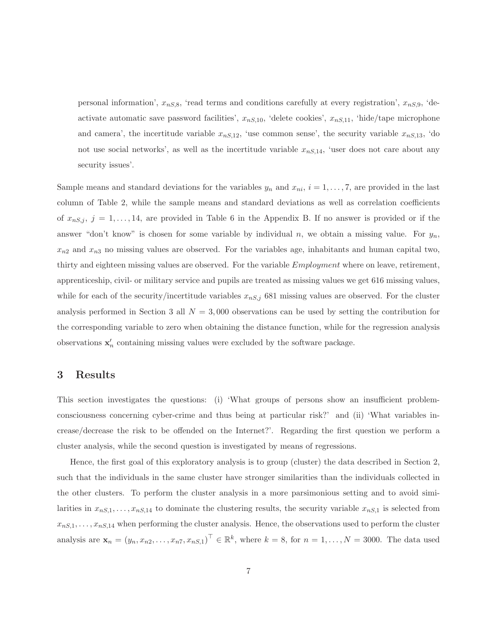personal information',  $x_{nS,8}$ , 'read terms and conditions carefully at every registration',  $x_{nS,9}$ , 'deactivate automatic save password facilities',  $x_{nS,10}$ , 'delete cookies',  $x_{nS,11}$ , 'hide/tape microphone and camera', the incertitude variable  $x_{nS,12}$ , 'use common sense', the security variable  $x_{nS,13}$ , 'do not use social networks', as well as the incertitude variable  $x_{nS,14}$ , 'user does not care about any security issues'.

Sample means and standard deviations for the variables  $y_n$  and  $x_{ni}$ ,  $i = 1, \ldots, 7$ , are provided in the last column of Table 2, while the sample means and standard deviations as well as correlation coefficients of  $x_{nS,j}$ ,  $j = 1, \ldots, 14$ , are provided in Table 6 in the Appendix B. If no answer is provided or if the answer "don't know" is chosen for some variable by individual n, we obtain a missing value. For  $y_n$ ,  $x_{n2}$  and  $x_{n3}$  no missing values are observed. For the variables age, inhabitants and human capital two, thirty and eighteen missing values are observed. For the variable Employment where on leave, retirement, apprenticeship, civil- or military service and pupils are treated as missing values we get 616 missing values, while for each of the security/incertitude variables  $x_{nS,j}$  681 missing values are observed. For the cluster analysis performed in Section 3 all  $N = 3,000$  observations can be used by setting the contribution for the corresponding variable to zero when obtaining the distance function, while for the regression analysis observations  $\mathbf{x}'_n$  containing missing values were excluded by the software package.

#### **3 Results**

This section investigates the questions: (i) 'What groups of persons show an insufficient problemconsciousness concerning cyber-crime and thus being at particular risk?' and (ii) 'What variables increase/decrease the risk to be offended on the Internet?'. Regarding the first question we perform a cluster analysis, while the second question is investigated by means of regressions.

Hence, the first goal of this exploratory analysis is to group (cluster) the data described in Section 2, such that the individuals in the same cluster have stronger similarities than the individuals collected in the other clusters. To perform the cluster analysis in a more parsimonious setting and to avoid similarities in  $x_{nS,1},...,x_{nS,14}$  to dominate the clustering results, the security variable  $x_{nS,1}$  is selected from  $x_{nS,1},\ldots,x_{nS,14}$  when performing the cluster analysis. Hence, the observations used to perform the cluster analysis are  $\mathbf{x}_n = (y_n, x_{n2}, \dots, x_{n7}, x_{n5,1})^\top \in \mathbb{R}^k$ , where  $k = 8$ , for  $n = 1, \dots, N = 3000$ . The data used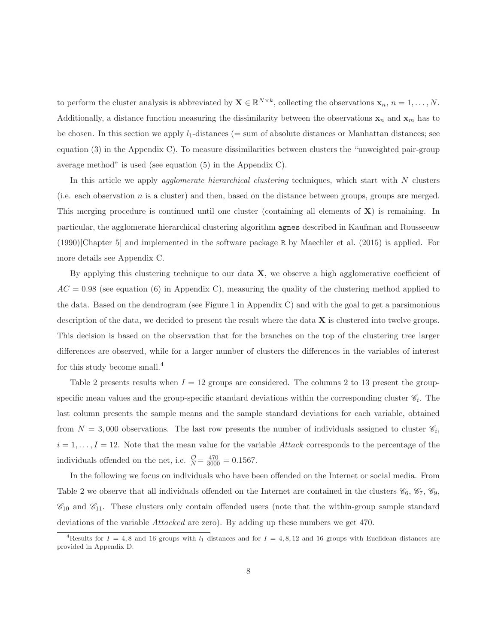to perform the cluster analysis is abbreviated by  $\mathbf{X} \in \mathbb{R}^{N \times k}$ , collecting the observations  $\mathbf{x}_n$ ,  $n = 1, \ldots, N$ . Additionally, a distance function measuring the dissimilarity between the observations  $\mathbf{x}_n$  and  $\mathbf{x}_m$  has to be chosen. In this section we apply  $l_1$ -distances (= sum of absolute distances or Manhattan distances; see equation (3) in the Appendix C). To measure dissimilarities between clusters the "unweighted pair-group average method" is used (see equation (5) in the Appendix C).

In this article we apply *agglomerate hierarchical clustering* techniques, which start with N clusters (i.e. each observation n is a cluster) and then, based on the distance between groups, groups are merged. This merging procedure is continued until one cluster (containing all elements of **X**) is remaining. In particular, the agglomerate hierarchical clustering algorithm agnes described in Kaufman and Rousseeuw (1990)[Chapter 5] and implemented in the software package R by Maechler et al. (2015) is applied. For more details see Appendix C.

By applying this clustering technique to our data **X**, we observe a high agglomerative coefficient of  $AC = 0.98$  (see equation (6) in Appendix C), measuring the quality of the clustering method applied to the data. Based on the dendrogram (see Figure 1 in Appendix C) and with the goal to get a parsimonious description of the data, we decided to present the result where the data **X** is clustered into twelve groups. This decision is based on the observation that for the branches on the top of the clustering tree larger differences are observed, while for a larger number of clusters the differences in the variables of interest for this study become small.<sup>4</sup>

Table 2 presents results when  $I = 12$  groups are considered. The columns 2 to 13 present the groupspecific mean values and the group-specific standard deviations within the corresponding cluster  $\mathscr{C}_i$ . The last column presents the sample means and the sample standard deviations for each variable, obtained from  $N = 3,000$  observations. The last row presents the number of individuals assigned to cluster  $\mathcal{C}_i$ ,  $i = 1, \ldots, I = 12$ . Note that the mean value for the variable Attack corresponds to the percentage of the individuals offended on the net, i.e.  $\frac{\mathcal{O}}{N} = \frac{470}{3000} = 0.1567$ .

In the following we focus on individuals who have been offended on the Internet or social media. From Table 2 we observe that all individuals offended on the Internet are contained in the clusters  $\mathcal{C}_6$ ,  $\mathcal{C}_7$ ,  $\mathcal{C}_9$ ,  $\mathscr{C}_{10}$  and  $\mathscr{C}_{11}$ . These clusters only contain offended users (note that the within-group sample standard deviations of the variable Attacked are zero). By adding up these numbers we get 470.

<sup>&</sup>lt;sup>4</sup>Results for  $I = 4, 8$  and 16 groups with  $l_1$  distances and for  $I = 4, 8, 12$  and 16 groups with Euclidean distances are provided in Appendix D.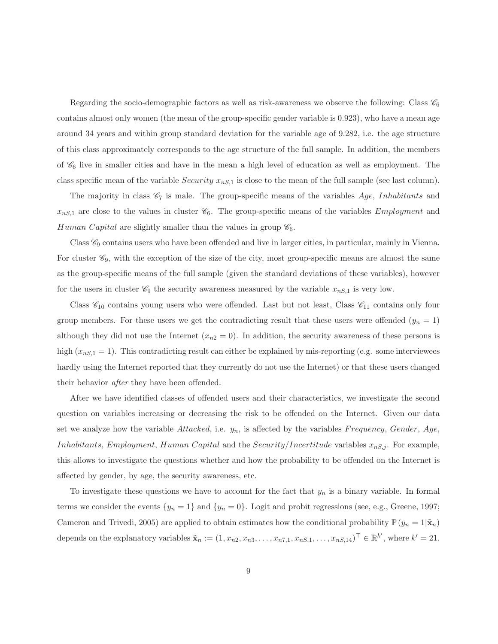Regarding the socio-demographic factors as well as risk-awareness we observe the following: Class  $\mathscr{C}_6$ contains almost only women (the mean of the group-specific gender variable is 0.923), who have a mean age around 34 years and within group standard deviation for the variable age of 9.282, i.e. the age structure of this class approximately corresponds to the age structure of the full sample. In addition, the members of  $\mathcal{C}_6$  live in smaller cities and have in the mean a high level of education as well as employment. The class specific mean of the variable *Security*  $x_{nS,1}$  is close to the mean of the full sample (see last column).

The majority in class  $\mathscr{C}_7$  is male. The group-specific means of the variables Age, Inhabitants and  $x_{nS,1}$  are close to the values in cluster  $\mathcal{C}_6$ . The group-specific means of the variables *Employment* and Human Capital are slightly smaller than the values in group  $\mathcal{C}_6$ .

Class  $\mathscr{C}_9$  contains users who have been offended and live in larger cities, in particular, mainly in Vienna. For cluster  $\mathcal{C}_9$ , with the exception of the size of the city, most group-specific means are almost the same as the group-specific means of the full sample (given the standard deviations of these variables), however for the users in cluster  $\mathcal{C}_9$  the security awareness measured by the variable  $x_{nS,1}$  is very low.

Class  $\mathcal{C}_{10}$  contains young users who were offended. Last but not least, Class  $\mathcal{C}_{11}$  contains only four group members. For these users we get the contradicting result that these users were offended  $(y_n = 1)$ although they did not use the Internet  $(x_{n2} = 0)$ . In addition, the security awareness of these persons is high  $(x_{nS,1} = 1)$ . This contradicting result can either be explained by mis-reporting (e.g. some interviewees hardly using the Internet reported that they currently do not use the Internet) or that these users changed their behavior after they have been offended.

After we have identified classes of offended users and their characteristics, we investigate the second question on variables increasing or decreasing the risk to be offended on the Internet. Given our data set we analyze how the variable  $Attacked$ , i.e.  $y_n$ , is affected by the variables Frequency, Gender, Age, Inhabitants, Employment, Human Capital and the Security/Incertitude variables  $x_{nS,j}$ . For example, this allows to investigate the questions whether and how the probability to be offended on the Internet is affected by gender, by age, the security awareness, etc.

To investigate these questions we have to account for the fact that  $y_n$  is a binary variable. In formal terms we consider the events  $\{y_n = 1\}$  and  $\{y_n = 0\}$ . Logit and probit regressions (see, e.g., Greene, 1997; Cameron and Trivedi, 2005) are applied to obtain estimates how the conditional probability  $\mathbb{P}(y_n = 1|\tilde{\mathbf{x}}_n)$ depends on the explanatory variables  $\tilde{\mathbf{x}}_n := (1, x_{n2}, x_{n3}, \dots, x_{n7,1}, x_{nS,1}, \dots, x_{nS,14})^\top \in \mathbb{R}^{k'}$ , where  $k' = 21$ .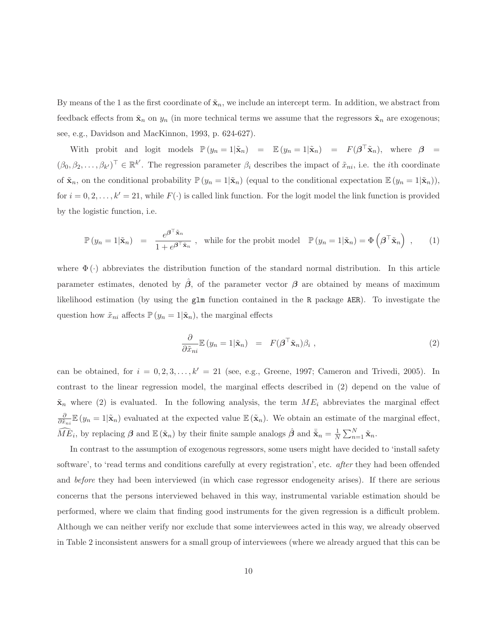By means of the 1 as the first coordinate of  $\tilde{\mathbf{x}}_n$ , we include an intercept term. In addition, we abstract from feedback effects from  $\tilde{\mathbf{x}}_n$  on  $y_n$  (in more technical terms we assume that the regressors  $\tilde{\mathbf{x}}_n$  are exogenous; see, e.g., Davidson and MacKinnon, 1993, p. 624-627).

With probit and logit models  $\mathbb{P}(y_n = 1 | \tilde{\mathbf{x}}_n) = \mathbb{E}(y_n = 1 | \tilde{\mathbf{x}}_n) = F(\boldsymbol{\beta}^\top \tilde{\mathbf{x}}_n)$ , where  $\boldsymbol{\beta} =$  $(\beta_0, \beta_2, \ldots, \beta_{k'})^{\top} \in \mathbb{R}^{k'}$ . The regression parameter  $\beta_i$  describes the impact of  $\tilde{x}_{ni}$ , i.e. the *i*th coordinate of  $\tilde{\mathbf{x}}_n$ , on the conditional probability  $\mathbb{P}(y_n = 1 | \tilde{\mathbf{x}}_n)$  (equal to the conditional expectation  $\mathbb{E}(y_n = 1 | \tilde{\mathbf{x}}_n)$ ), for  $i = 0, 2, \ldots, k' = 21$ , while  $F(\cdot)$  is called link function. For the logit model the link function is provided by the logistic function, i.e.

$$
\mathbb{P}(y_n = 1 | \tilde{\mathbf{x}}_n) = \frac{e^{\boldsymbol{\beta}^\top \tilde{\mathbf{x}}_n}}{1 + e^{\boldsymbol{\beta}^\top \tilde{\mathbf{x}}_n}}, \text{ while for the probit model } \mathbb{P}(y_n = 1 | \tilde{\mathbf{x}}_n) = \Phi\left(\boldsymbol{\beta}^\top \tilde{\mathbf{x}}_n\right), \quad (1)
$$

where  $\Phi(\cdot)$  abbreviates the distribution function of the standard normal distribution. In this article parameter estimates, denoted by  $\beta$ , of the parameter vector  $\beta$  are obtained by means of maximum likelihood estimation (by using the glm function contained in the R package AER). To investigate the question how  $\tilde{x}_{ni}$  affects  $\mathbb{P}(y_n = 1 | \tilde{\mathbf{x}}_n)$ , the marginal effects

$$
\frac{\partial}{\partial \tilde{x}_{ni}} \mathbb{E} (y_n = 1 | \tilde{\mathbf{x}}_n) = F(\boldsymbol{\beta}^\top \tilde{\mathbf{x}}_n) \beta_i , \qquad (2)
$$

can be obtained, for  $i = 0, 2, 3, \ldots, k' = 21$  (see, e.g., Greene, 1997; Cameron and Trivedi, 2005). In contrast to the linear regression model, the marginal effects described in (2) depend on the value of  $\tilde{\mathbf{x}}_n$  where (2) is evaluated. In the following analysis, the term  $ME_i$  abbreviates the marginal effect  $\frac{\partial}{\partial \tilde{x}_{ni}} \mathbb{E}(y_n = 1 | \tilde{\mathbf{x}}_n)$  evaluated at the expected value  $\mathbb{E}(\tilde{\mathbf{x}}_n)$ . We obtain an estimate of the marginal effect,  $\widehat{ME}_i$ , by replacing  $\beta$  and  $\mathbb{E}(\tilde{\mathbf{x}}_n)$  by their finite sample analogs  $\hat{\beta}$  and  $\bar{\tilde{\mathbf{x}}}_n = \frac{1}{N} \sum_{n=1}^N \tilde{\mathbf{x}}_n$ .

In contrast to the assumption of exogenous regressors, some users might have decided to 'install safety software', to 'read terms and conditions carefully at every registration', etc. *after* they had been offended and before they had been interviewed (in which case regressor endogeneity arises). If there are serious concerns that the persons interviewed behaved in this way, instrumental variable estimation should be performed, where we claim that finding good instruments for the given regression is a difficult problem. Although we can neither verify nor exclude that some interviewees acted in this way, we already observed in Table 2 inconsistent answers for a small group of interviewees (where we already argued that this can be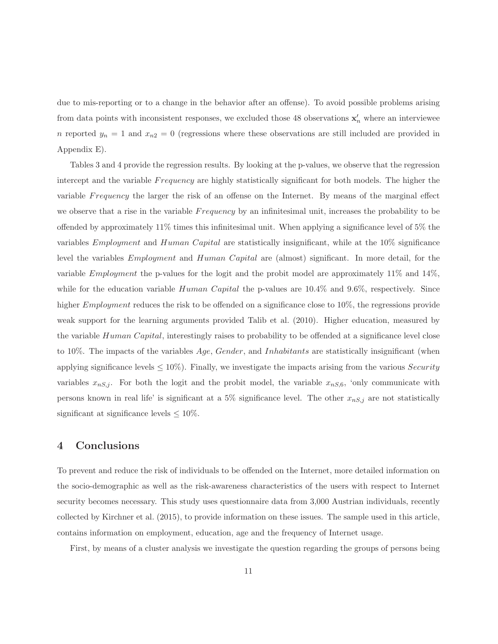due to mis-reporting or to a change in the behavior after an offense). To avoid possible problems arising from data points with inconsistent responses, we excluded those 48 observations  $\mathbf{x}'_n$  where an interviewee n reported  $y_n = 1$  and  $x_{n2} = 0$  (regressions where these observations are still included are provided in Appendix E).

Tables 3 and 4 provide the regression results. By looking at the p-values, we observe that the regression intercept and the variable F requency are highly statistically significant for both models. The higher the variable Frequency the larger the risk of an offense on the Internet. By means of the marginal effect we observe that a rise in the variable F requency by an infinitesimal unit, increases the probability to be offended by approximately 11% times this infinitesimal unit. When applying a significance level of 5% the variables Employment and Human Capital are statistically insignificant, while at the 10% significance level the variables Employment and Human Capital are (almost) significant. In more detail, for the variable Employment the p-values for the logit and the probit model are approximately 11% and 14%, while for the education variable  $Human Capital$  the p-values are  $10.4\%$  and  $9.6\%$ , respectively. Since higher *Employment* reduces the risk to be offended on a significance close to 10%, the regressions provide weak support for the learning arguments provided Talib et al. (2010). Higher education, measured by the variable Human Capital, interestingly raises to probability to be offended at a significance level close to 10%. The impacts of the variables Age, Gender, and Inhabitants are statistically insignificant (when applying significance levels  $\leq 10\%$ ). Finally, we investigate the impacts arising from the various *Security* variables  $x_{nS,j}$ . For both the logit and the probit model, the variable  $x_{nS,6}$ , 'only communicate with persons known in real life' is significant at a 5% significance level. The other  $x_{nS,j}$  are not statistically significant at significance levels  $\leq 10\%$ .

#### **4 Conclusions**

To prevent and reduce the risk of individuals to be offended on the Internet, more detailed information on the socio-demographic as well as the risk-awareness characteristics of the users with respect to Internet security becomes necessary. This study uses questionnaire data from 3,000 Austrian individuals, recently collected by Kirchner et al. (2015), to provide information on these issues. The sample used in this article, contains information on employment, education, age and the frequency of Internet usage.

First, by means of a cluster analysis we investigate the question regarding the groups of persons being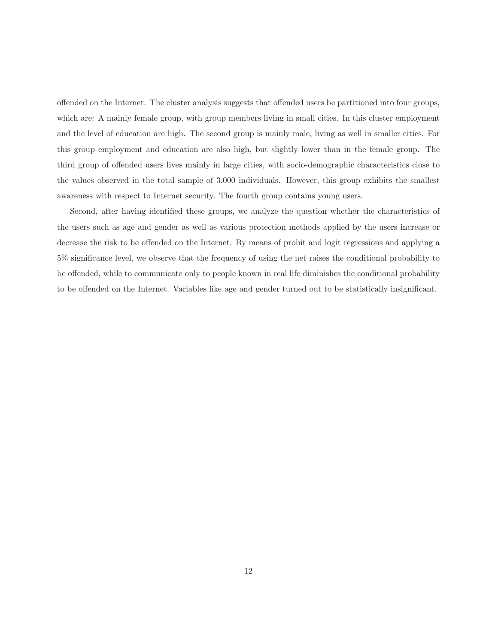offended on the Internet. The cluster analysis suggests that offended users be partitioned into four groups, which are: A mainly female group, with group members living in small cities. In this cluster employment and the level of education are high. The second group is mainly male, living as well in smaller cities. For this group employment and education are also high, but slightly lower than in the female group. The third group of offended users lives mainly in large cities, with socio-demographic characteristics close to the values observed in the total sample of 3,000 individuals. However, this group exhibits the smallest awareness with respect to Internet security. The fourth group contains young users.

Second, after having identified these groups, we analyze the question whether the characteristics of the users such as age and gender as well as various protection methods applied by the users increase or decrease the risk to be offended on the Internet. By means of probit and logit regressions and applying a 5% significance level, we observe that the frequency of using the net raises the conditional probability to be offended, while to communicate only to people known in real life diminishes the conditional probability to be offended on the Internet. Variables like age and gender turned out to be statistically insignificant.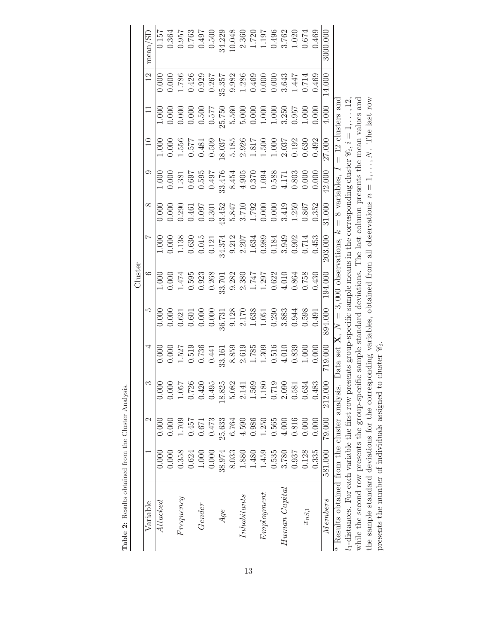|                                                                                                                                                           |         |        |                                                                 |                                                                          |                                                         | Cluster                                                                                                          |                                                                          |                                           |                    |                                                                                                     |                                                                                                                  |           |                    |
|-----------------------------------------------------------------------------------------------------------------------------------------------------------|---------|--------|-----------------------------------------------------------------|--------------------------------------------------------------------------|---------------------------------------------------------|------------------------------------------------------------------------------------------------------------------|--------------------------------------------------------------------------|-------------------------------------------|--------------------|-----------------------------------------------------------------------------------------------------|------------------------------------------------------------------------------------------------------------------|-----------|--------------------|
| Variable                                                                                                                                                  |         | N      | ಌ                                                               | ₹                                                                        | IJ                                                      | $\circ$                                                                                                          |                                                                          | ∞                                         | 0                  |                                                                                                     |                                                                                                                  |           | mean/SD            |
| $\emph{Attacked}$                                                                                                                                         | 0.000   | 0.000  | 0.000                                                           | 0.000                                                                    | 0.000                                                   | 1.000                                                                                                            | 1.000                                                                    | 0.000                                     | 1.000              | 1.000                                                                                               | 1.000                                                                                                            | 0.000     | 0.157              |
|                                                                                                                                                           | 0.000   | 0.000  | 0.000                                                           |                                                                          | 0.000                                                   | 0.000                                                                                                            |                                                                          | 0.000                                     | 0.000              | 0.000                                                                                               | 0.000                                                                                                            | 0.000     | 0.364              |
| $F$ requency                                                                                                                                              | 0.358   | 1.709  |                                                                 |                                                                          |                                                         | 1.474                                                                                                            |                                                                          | 0.290                                     | 1.381              |                                                                                                     | 0.000                                                                                                            | $1.786\,$ | 0.957              |
|                                                                                                                                                           | 0.624   | 0.457  | 1.057<br>0.726                                                  |                                                                          | $\frac{0.621}{0.601}$                                   | 0.595                                                                                                            | $\begin{array}{c} 0.000 \\ 1.138 \\ 0.630 \end{array}$                   | 0.461                                     |                    |                                                                                                     | 0.000                                                                                                            | 0.426     | 0.763              |
| Gender                                                                                                                                                    | 1.000   | 0.671  | 0.420                                                           | $\begin{array}{c} 0.000 \\ 1.527 \\ 0.519 \\ 0.736 \\ 0.736 \end{array}$ | 0.000                                                   | 0.923                                                                                                            | $0.015\,$                                                                | 0.097                                     | $0.697$<br>$763.0$ | $\begin{array}{c} 1.556 \\ 0.577 \\ 0.481 \end{array}$                                              | 0.500                                                                                                            | 0.929     | 0.497              |
|                                                                                                                                                           | 0.000   | 0.473  | 0.495                                                           |                                                                          | 0.000                                                   |                                                                                                                  | 0.121                                                                    | 0.301                                     | 0.497              | 0.509                                                                                               |                                                                                                                  | 0.267     | 0.500              |
| Age                                                                                                                                                       | 38.974  | 25.633 | 18.825<br>5.082                                                 | 33.161                                                                   |                                                         |                                                                                                                  | 34.374                                                                   |                                           | 33.476             | 18.037                                                                                              |                                                                                                                  | 35.357    | 34.229             |
|                                                                                                                                                           | 8.033   | 6.764  |                                                                 |                                                                          | $\begin{array}{c} 36.731 \\ 9.128 \\ 2.170 \end{array}$ |                                                                                                                  |                                                                          | $43.452$<br>$5.847$<br>$3.710$<br>$1.792$ |                    |                                                                                                     |                                                                                                                  | 9.982     | 10.048             |
| Inhabitants                                                                                                                                               | 1.880   | 4.590  | 2.141                                                           |                                                                          |                                                         |                                                                                                                  |                                                                          |                                           | $8.454$<br>4.905   |                                                                                                     |                                                                                                                  | 1.286     | 2.360              |
|                                                                                                                                                           | 1.480   | 0.986  |                                                                 |                                                                          | 1.638                                                   |                                                                                                                  |                                                                          |                                           | 0.370              |                                                                                                     |                                                                                                                  | 0.469     |                    |
| Emplogment                                                                                                                                                | 1.459   | 1.250  | $\begin{array}{c} 1.569 \\ 1.180 \\ 0.719 \\ 2.090 \end{array}$ | $\begin{array}{c} 8.859 \\ 2.619 \\ 1.785 \\ 1.309 \end{array}$          | 1.051                                                   | $\begin{array}{r} 0.268 \\ 33.701 \\ 9.282 \\ 2.380 \\ 1.747 \\ 1.297 \\ 1.297 \\ 0.622 \\ 4.010 \\ \end{array}$ | $\begin{array}{c} 9.212 \\ 2.207 \\ 1.634 \\ 0.989 \\ 0.184 \end{array}$ | 0.000                                     | $1.094\,$          |                                                                                                     | $\begin{array}{r} 0.577 \\ 25.750 \\ 5.560 \\ 5.000 \\ 0.000 \\ 1.000 \\ 1.000 \\ 3.250 \\ 3.250 \\ \end{array}$ | 0.000     | $1.720$<br>$1.197$ |
|                                                                                                                                                           | 0.535   | 0.565  |                                                                 | $0.516$<br>4.010                                                         | 0.230                                                   |                                                                                                                  |                                                                          | 0.000                                     | 0.588              |                                                                                                     |                                                                                                                  | 0.000     | 0.496              |
| $H$ uman $Capital$                                                                                                                                        | 3.780   | 4.000  |                                                                 |                                                                          | 3.883                                                   |                                                                                                                  | 3.949                                                                    | 3.419                                     | 4.171              |                                                                                                     |                                                                                                                  | 3.643     |                    |
|                                                                                                                                                           | 0.937   | 0.816  | 0.581                                                           | $0.839$<br>$1.000$                                                       | 0.944                                                   | 0.864                                                                                                            | $0.902$<br>$0.714$                                                       | 1.259                                     | 0.803              | $\begin{array}{l} 5.185 \\ 2.926 \\ 1.817 \\ 1.500 \\ 1.000 \\ 1.003 \\ 0.033 \\ 0.630 \end{array}$ |                                                                                                                  | 1.447     | $3.762$<br>$1.020$ |
| $\boldsymbol{x_{nS,1}}$                                                                                                                                   | 0.128   | 0.000  | 0.634                                                           |                                                                          | 0.598                                                   | 0.758                                                                                                            |                                                                          | 0.867                                     | 0.000              |                                                                                                     | 1.000                                                                                                            | 0.714     | 0.674              |
|                                                                                                                                                           | 0.335   | 0.000  | 0.483                                                           | 0.000                                                                    | 0.491                                                   | 0.430                                                                                                            | 0.453                                                                    | 0.352                                     | 0.000              | 0.492                                                                                               | 0.000                                                                                                            | 0.469     | 0.469              |
| <i>Members</i>                                                                                                                                            | 581.000 | 79.000 | 212.000                                                         | 719.000                                                                  | 894.000                                                 | 194.000                                                                                                          | 203.000                                                                  | 31.000                                    | 42.000             | 27.000                                                                                              | 4.000                                                                                                            | 14.000    | 3000.000           |
| <sup><i>a</i></sup> Results obtained from the cluster analysis. Data set <b>X</b> , $N = 3,000$ observations, $k = 8$ variables,                          |         |        |                                                                 |                                                                          |                                                         |                                                                                                                  |                                                                          |                                           |                    |                                                                                                     | $= 12$ clusters and                                                                                              |           |                    |
| $l_1$ -distances. For each variable the first row presents group-specific sample means in the corresponding cluster $\mathscr{C}_5$ , $i = 1, \ldots, 12$ |         |        |                                                                 |                                                                          |                                                         |                                                                                                                  |                                                                          |                                           |                    |                                                                                                     |                                                                                                                  |           |                    |
| while the second row presents the group-specific sample standard deviations. The last column presents the mean values and                                 |         |        |                                                                 |                                                                          |                                                         |                                                                                                                  |                                                                          |                                           |                    |                                                                                                     |                                                                                                                  |           |                    |
| the sample standard deviations for the corresponding variables, obtained from all observations $n = 1, \ldots, N$ . The last row                          |         |        |                                                                 |                                                                          |                                                         |                                                                                                                  |                                                                          |                                           |                    |                                                                                                     |                                                                                                                  |           |                    |
| presents the number of individuals assigned                                                                                                               |         |        |                                                                 | to cluster $\mathscr{C}_i$ .                                             |                                                         |                                                                                                                  |                                                                          |                                           |                    |                                                                                                     |                                                                                                                  |           |                    |

**Table 2:** Results obtained from the Cluster Analysis.

Table 2: Results obtained from the Cluster Analysis.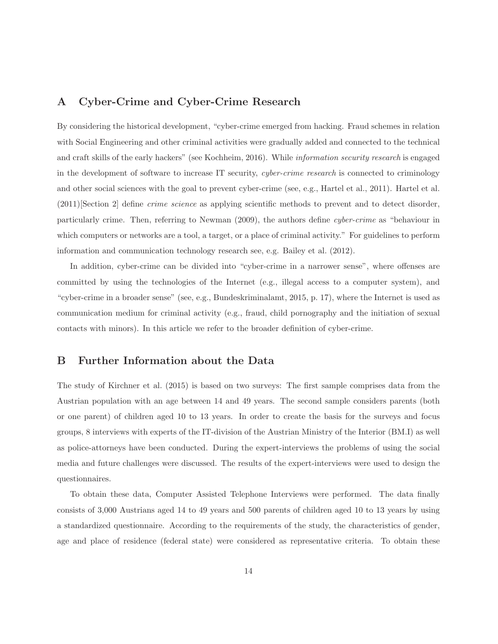### **A Cyber-Crime and Cyber-Crime Research**

By considering the historical development, "cyber-crime emerged from hacking. Fraud schemes in relation with Social Engineering and other criminal activities were gradually added and connected to the technical and craft skills of the early hackers" (see Kochheim, 2016). While information security research is engaged in the development of software to increase IT security, cyber-crime research is connected to criminology and other social sciences with the goal to prevent cyber-crime (see, e.g., Hartel et al., 2011). Hartel et al. (2011)[Section 2] define crime science as applying scientific methods to prevent and to detect disorder, particularly crime. Then, referring to Newman (2009), the authors define cyber-crime as "behaviour in which computers or networks are a tool, a target, or a place of criminal activity." For guidelines to perform information and communication technology research see, e.g. Bailey et al. (2012).

In addition, cyber-crime can be divided into "cyber-crime in a narrower sense", where offenses are committed by using the technologies of the Internet (e.g., illegal access to a computer system), and "cyber-crime in a broader sense" (see, e.g., Bundeskriminalamt, 2015, p. 17), where the Internet is used as communication medium for criminal activity (e.g., fraud, child pornography and the initiation of sexual contacts with minors). In this article we refer to the broader definition of cyber-crime.

#### **B Further Information about the Data**

The study of Kirchner et al. (2015) is based on two surveys: The first sample comprises data from the Austrian population with an age between 14 and 49 years. The second sample considers parents (both or one parent) of children aged 10 to 13 years. In order to create the basis for the surveys and focus groups, 8 interviews with experts of the IT-division of the Austrian Ministry of the Interior (BM.I) as well as police-attorneys have been conducted. During the expert-interviews the problems of using the social media and future challenges were discussed. The results of the expert-interviews were used to design the questionnaires.

To obtain these data, Computer Assisted Telephone Interviews were performed. The data finally consists of 3,000 Austrians aged 14 to 49 years and 500 parents of children aged 10 to 13 years by using a standardized questionnaire. According to the requirements of the study, the characteristics of gender, age and place of residence (federal state) were considered as representative criteria. To obtain these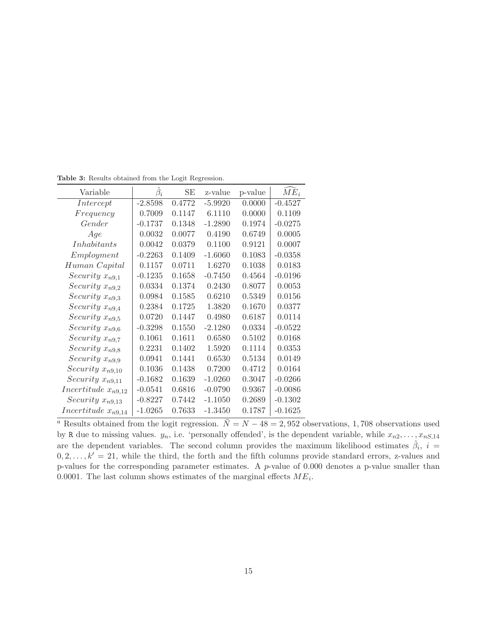| Variable                | $\beta_i$ | SЕ     | z-value   | p-value | $ME_i$    |
|-------------------------|-----------|--------|-----------|---------|-----------|
| Intercept               | $-2.8598$ | 0.4772 | $-5.9920$ | 0.0000  | $-0.4527$ |
| Frequency               | 0.7009    | 0.1147 | 6.1110    | 0.0000  | 0.1109    |
| Gender                  | $-0.1737$ | 0.1348 | $-1.2890$ | 0.1974  | $-0.0275$ |
| Age                     | 0.0032    | 0.0077 | 0.4190    | 0.6749  | 0.0005    |
| Inhabitants             | 0.0042    | 0.0379 | 0.1100    | 0.9121  | 0.0007    |
| Employment              | $-0.2263$ | 0.1409 | $-1.6060$ | 0.1083  | $-0.0358$ |
| Human Capital           | 0.1157    | 0.0711 | 1.6270    | 0.1038  | 0.0183    |
| Security $x_{n9,1}$     | $-0.1235$ | 0.1658 | $-0.7450$ | 0.4564  | $-0.0196$ |
| Security $x_{n9,2}$     | 0.0334    | 0.1374 | 0.2430    | 0.8077  | 0.0053    |
| Security $x_{n9,3}$     | 0.0984    | 0.1585 | 0.6210    | 0.5349  | 0.0156    |
| Security $x_{n9,4}$     | 0.2384    | 0.1725 | 1.3820    | 0.1670  | 0.0377    |
| Security $x_{n9,5}$     | 0.0720    | 0.1447 | 0.4980    | 0.6187  | 0.0114    |
| Security $x_{n9,6}$     | $-0.3298$ | 0.1550 | $-2.1280$ | 0.0334  | $-0.0522$ |
| Security $x_{n9,7}$     | 0.1061    | 0.1611 | 0.6580    | 0.5102  | 0.0168    |
| Security $x_{n9,8}$     | 0.2231    | 0.1402 | 1.5920    | 0.1114  | 0.0353    |
| Security $x_{n9,9}$     | 0.0941    | 0.1441 | 0.6530    | 0.5134  | 0.0149    |
| Security $x_{n9,10}$    | 0.1036    | 0.1438 | 0.7200    | 0.4712  | 0.0164    |
| Security $x_{n9,11}$    | $-0.1682$ | 0.1639 | $-1.0260$ | 0.3047  | $-0.0266$ |
| Incertitude $x_{n9,12}$ | $-0.0541$ | 0.6816 | $-0.0790$ | 0.9367  | $-0.0086$ |
| Security $x_{n9,13}$    | $-0.8227$ | 0.7442 | $-1.1050$ | 0.2689  | $-0.1302$ |
| Incertitude $x_{n9,14}$ | $-1.0265$ | 0.7633 | $-1.3450$ | 0.1787  | $-0.1625$ |

**Table 3:** Results obtained from the Logit Regression.

<sup>a</sup> Results obtained from the logit regression.  $\tilde{N} = N - 48 = 2,952$  observations, 1,708 observations used by R due to missing values.  $y_n$ , i.e. 'personally offended', is the dependent variable, while  $x_{n2}, \ldots, x_{nS,14}$ are the dependent variables. The second column provides the maximum likelihood estimates  $\hat{\beta}_i$ ,  $i =$  $0, 2, \ldots, k' = 21$ , while the third, the forth and the fifth columns provide standard errors, z-values and p-values for the corresponding parameter estimates. A  $p$ -value of 0.000 denotes a p-value smaller than 0.0001. The last column shows estimates of the marginal effects  $ME_i$ .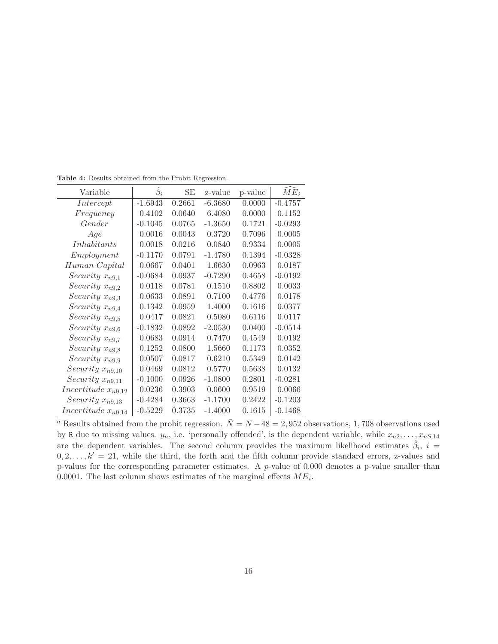| Variable                | $\beta_i$ | SЕ     | z-value   | p-value | $ME_i$    |
|-------------------------|-----------|--------|-----------|---------|-----------|
| Intercept               | $-1.6943$ | 0.2661 | $-6.3680$ | 0.0000  | $-0.4757$ |
| Frequency               | 0.4102    | 0.0640 | 6.4080    | 0.0000  | 0.1152    |
| Gender                  | $-0.1045$ | 0.0765 | $-1.3650$ | 0.1721  | $-0.0293$ |
| Age                     | 0.0016    | 0.0043 | 0.3720    | 0.7096  | 0.0005    |
| <i>Inhabitants</i>      | 0.0018    | 0.0216 | 0.0840    | 0.9334  | 0.0005    |
| Employment              | $-0.1170$ | 0.0791 | $-1.4780$ | 0.1394  | $-0.0328$ |
| Human Capital           | 0.0667    | 0.0401 | 1.6630    | 0.0963  | 0.0187    |
| Security $x_{n9,1}$     | $-0.0684$ | 0.0937 | $-0.7290$ | 0.4658  | $-0.0192$ |
| Security $x_{n9,2}$     | 0.0118    | 0.0781 | 0.1510    | 0.8802  | 0.0033    |
| Security $x_{n9,3}$     | 0.0633    | 0.0891 | 0.7100    | 0.4776  | 0.0178    |
| Security $x_{n9,4}$     | 0.1342    | 0.0959 | 1.4000    | 0.1616  | 0.0377    |
| Security $x_{n9,5}$     | 0.0417    | 0.0821 | 0.5080    | 0.6116  | 0.0117    |
| Security $x_{n9,6}$     | $-0.1832$ | 0.0892 | $-2.0530$ | 0.0400  | $-0.0514$ |
| Security $x_{n9,7}$     | 0.0683    | 0.0914 | 0.7470    | 0.4549  | 0.0192    |
| Security $x_{n9,8}$     | 0.1252    | 0.0800 | 1.5660    | 0.1173  | 0.0352    |
| Security $x_{n9,9}$     | 0.0507    | 0.0817 | 0.6210    | 0.5349  | 0.0142    |
| Security $x_{n9,10}$    | 0.0469    | 0.0812 | 0.5770    | 0.5638  | 0.0132    |
| Security $x_{n9,11}$    | $-0.1000$ | 0.0926 | $-1.0800$ | 0.2801  | $-0.0281$ |
| Incertitude $x_{n9,12}$ | 0.0236    | 0.3903 | 0.0600    | 0.9519  | 0.0066    |
| Security $x_{n9,13}$    | $-0.4284$ | 0.3663 | $-1.1700$ | 0.2422  | $-0.1203$ |
| Incertitude $x_{n9,14}$ | $-0.5229$ | 0.3735 | $-1.4000$ | 0.1615  | $-0.1468$ |

**Table 4:** Results obtained from the Probit Regression.

<sup>a</sup> Results obtained from the probit regression.  $\tilde{N} = N - 48 = 2,952$  observations, 1,708 observations used by R due to missing values.  $y_n$ , i.e. 'personally offended', is the dependent variable, while  $x_{n2}, \ldots, x_{nS,14}$ are the dependent variables. The second column provides the maximum likelihood estimates  $\hat{\beta}_i$ ,  $i =$  $0, 2, \ldots, k' = 21$ , while the third, the forth and the fifth column provide standard errors, z-values and p-values for the corresponding parameter estimates. A  $p$ -value of 0.000 denotes a p-value smaller than 0.0001. The last column shows estimates of the marginal effects  $ME_i$ .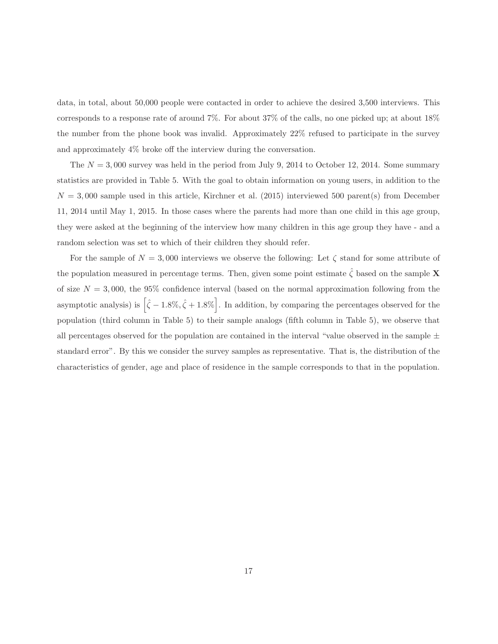data, in total, about 50,000 people were contacted in order to achieve the desired 3,500 interviews. This corresponds to a response rate of around 7%. For about 37% of the calls, no one picked up; at about 18% the number from the phone book was invalid. Approximately 22% refused to participate in the survey and approximately 4% broke off the interview during the conversation.

The  $N = 3,000$  survey was held in the period from July 9, 2014 to October 12, 2014. Some summary statistics are provided in Table 5. With the goal to obtain information on young users, in addition to the  $N = 3,000$  sample used in this article, Kirchner et al. (2015) interviewed 500 parent(s) from December 11, 2014 until May 1, 2015. In those cases where the parents had more than one child in this age group, they were asked at the beginning of the interview how many children in this age group they have - and a random selection was set to which of their children they should refer.

For the sample of  $N = 3,000$  interviews we observe the following: Let  $\zeta$  stand for some attribute of the population measured in percentage terms. Then, given some point estimate  $\hat{\zeta}$  based on the sample **X** of size  $N = 3,000$ , the 95% confidence interval (based on the normal approximation following from the asymptotic analysis) is  $\left[\hat{\zeta} - 1.8\%, \hat{\zeta} + 1.8\% \right]$ . In addition, by comparing the percentages observed for the population (third column in Table 5) to their sample analogs (fifth column in Table 5), we observe that all percentages observed for the population are contained in the interval "value observed in the sample  $\pm$ standard error". By this we consider the survey samples as representative. That is, the distribution of the characteristics of gender, age and place of residence in the sample corresponds to that in the population.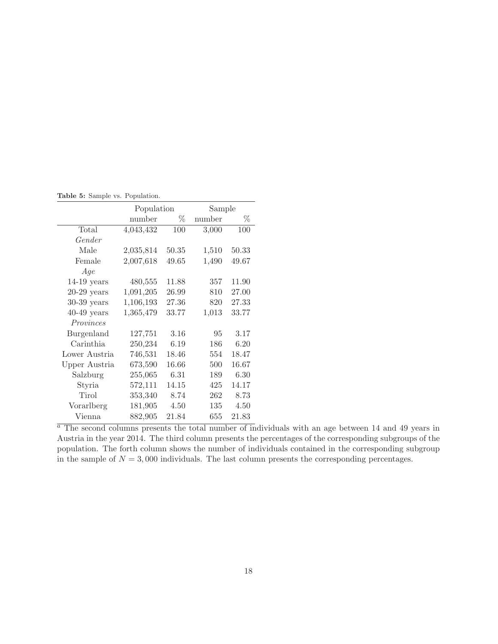**Table 5:** Sample vs. Population.

|               | Population |       | Sample |       |
|---------------|------------|-------|--------|-------|
|               | number     | %     | number | Z     |
| Total         | 4,043,432  | 100   | 3,000  | 100   |
| Gender        |            |       |        |       |
| Male          | 2,035,814  | 50.35 | 1,510  | 50.33 |
| Female        | 2,007,618  | 49.65 | 1,490  | 49.67 |
| Age           |            |       |        |       |
| $14-19$ years | 480,555    | 11.88 | 357    | 11.90 |
| $20-29$ years | 1,091,205  | 26.99 | 810    | 27.00 |
| $30-39$ years | 1,106,193  | 27.36 | 820    | 27.33 |
| $40-49$ years | 1,365,479  | 33.77 | 1,013  | 33.77 |
| Provinces     |            |       |        |       |
| Burgenland    | 127,751    | 3.16  | 95     | 3.17  |
| Carinthia     | 250,234    | 6.19  | 186    | 6.20  |
| Lower Austria | 746,531    | 18.46 | 554    | 18.47 |
| Upper Austria | 673,590    | 16.66 | 500    | 16.67 |
| Salzburg      | 255,065    | 6.31  | 189    | 6.30  |
| Styria        | 572,111    | 14.15 | 425    | 14.17 |
| Tirol         | 353,340    | 8.74  | 262    | 8.73  |
| Vorarlberg    | 181,905    | 4.50  | 135    | 4.50  |
| Vienna        | 882,905    | 21.84 | 655    | 21.83 |

 $\frac{a}{a}$  The second columns presents the total number of individuals with an age between 14 and 49 years in Austria in the year 2014. The third column presents the percentages of the corresponding subgroups of the population. The forth column shows the number of individuals contained in the corresponding subgroup in the sample of  $N = 3,000$  individuals. The last column presents the corresponding percentages.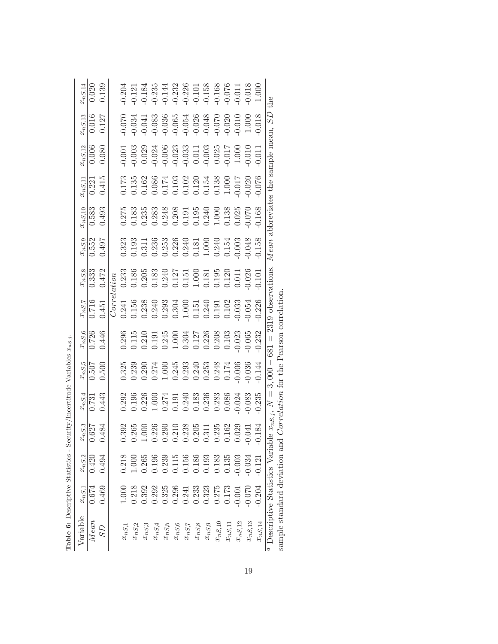| Table 6: Descriptive Statistics - Se |                     |            |                | curity/Incertitude Variables                                                                                                    |                                                                      | $x_{nS,j}$                                                                     |            |                                                                                |                                                                                                                                           |                              |                                                                                                                                                                                                                                                                                                     |                    |                                                                                                                                                  |             |
|--------------------------------------|---------------------|------------|----------------|---------------------------------------------------------------------------------------------------------------------------------|----------------------------------------------------------------------|--------------------------------------------------------------------------------|------------|--------------------------------------------------------------------------------|-------------------------------------------------------------------------------------------------------------------------------------------|------------------------------|-----------------------------------------------------------------------------------------------------------------------------------------------------------------------------------------------------------------------------------------------------------------------------------------------------|--------------------|--------------------------------------------------------------------------------------------------------------------------------------------------|-------------|
| Variable                             | $x_{nS,\mathbf{1}}$ | $x_{nS,2}$ | $x_{nS,3}$     | $x_{nS,4}$                                                                                                                      | $x_{nS,\bar{\bf 5}}$                                                 | $x_{nS,6}$                                                                     | $x_{nS,7}$ | $x_{nS,8}$                                                                     | $\frac{x_{nS,9}}{2}$                                                                                                                      | nS,10                        | $r_{nS,11}$                                                                                                                                                                                                                                                                                         | $x_{nS,12}$        | $\displaystyle{{c_{nS,13}}}$                                                                                                                     | $x_{nS,14}$ |
| Mean                                 | 0.674               | 0.420      | 0.627          | 0.731                                                                                                                           | 0.507                                                                | 0.726<br>0.446                                                                 | 0.716      | 0.333                                                                          | 1.552                                                                                                                                     | 0.583                        | 0.221                                                                                                                                                                                                                                                                                               | $0.006$<br>$0.080$ | $\begin{array}{c} 0.016 \\ 0.127 \end{array}$                                                                                                    | 0.020       |
| CS                                   | 0.469               | 0.494      | 0.484          | 0.443                                                                                                                           | 0.500                                                                |                                                                                | 1.451      | 0.472                                                                          | 0.497                                                                                                                                     | 0.493                        | 0.415                                                                                                                                                                                                                                                                                               |                    |                                                                                                                                                  | 0.139       |
|                                      |                     |            |                |                                                                                                                                 |                                                                      |                                                                                | Correi     | $_{aton}$                                                                      |                                                                                                                                           |                              |                                                                                                                                                                                                                                                                                                     |                    |                                                                                                                                                  |             |
| $x_{nS,1}$                           | 1.000               | 0.218      |                |                                                                                                                                 |                                                                      |                                                                                |            |                                                                                |                                                                                                                                           |                              |                                                                                                                                                                                                                                                                                                     |                    |                                                                                                                                                  |             |
| $x_{nS,2}$                           | 0.218               | 1.000      | 0.265          |                                                                                                                                 |                                                                      |                                                                                |            |                                                                                |                                                                                                                                           |                              |                                                                                                                                                                                                                                                                                                     |                    |                                                                                                                                                  |             |
| $x_{nS,3}$                           | 0.392               | 0.265      | 1.000          |                                                                                                                                 |                                                                      |                                                                                |            |                                                                                |                                                                                                                                           |                              |                                                                                                                                                                                                                                                                                                     |                    |                                                                                                                                                  |             |
| $x_{nS,4}$                           | 0.292               | 0.196      | 0.226          |                                                                                                                                 |                                                                      |                                                                                |            |                                                                                |                                                                                                                                           |                              |                                                                                                                                                                                                                                                                                                     |                    |                                                                                                                                                  |             |
| $x_{nS,\rm 5}$                       | 0.325               | 0.239      | 0.290          |                                                                                                                                 |                                                                      |                                                                                |            |                                                                                |                                                                                                                                           |                              |                                                                                                                                                                                                                                                                                                     |                    |                                                                                                                                                  |             |
| $\boldsymbol{x_{nS,6}}$              | 0.296               | 0.115      | 0.210          |                                                                                                                                 |                                                                      |                                                                                |            |                                                                                |                                                                                                                                           |                              |                                                                                                                                                                                                                                                                                                     |                    |                                                                                                                                                  |             |
| $x_{nS,7}$                           | 0.241               | $0.156\,$  | 0.238          |                                                                                                                                 |                                                                      |                                                                                |            |                                                                                |                                                                                                                                           |                              |                                                                                                                                                                                                                                                                                                     |                    |                                                                                                                                                  |             |
| $x_{nS,8}$                           | 0.233               | 0.186      | 0.205          |                                                                                                                                 |                                                                      |                                                                                |            |                                                                                |                                                                                                                                           |                              |                                                                                                                                                                                                                                                                                                     |                    |                                                                                                                                                  |             |
| $\boldsymbol{x_{nS,9}}$              | 0.323               | 0.193      | 0.311          |                                                                                                                                 |                                                                      |                                                                                |            |                                                                                |                                                                                                                                           |                              |                                                                                                                                                                                                                                                                                                     |                    |                                                                                                                                                  |             |
| $x_{nS,10}$                          | 0.275               | $0.183\,$  | 0.235          | $\begin{array}{r} 0.292 \\ 0.196 \\ 0.226 \\ 0.0191 \\ 0.191 \\ 0.191 \\ 0.191 \\ 0.240 \\ 0.238 \\ 0.086 \\ 0.086 \end{array}$ | 323<br>0.2336 0.243<br>0.274333 0.2338<br>0.243 0.243<br>0.243 0.243 | 0.296<br>0.110.245<br>0.0.245<br>0.0.0.2756<br>0.0.0.2756<br>0.0.0.0.0.0.0.0.0 |            | 0.233<br>0.186<br>0.205<br>0.240<br>0.1511000.1000.1000<br>0.1000.1000.000.000 | $\begin{array}{l} 0.323 \\ 0.193 \\ 0.211 \\ 0.236 \\ 0.236 \\ 0.240 \\ 0.181 \\ 0.000 \\ 0.01 \\ 0.000 \\ 0.003 \\ 0.003 \\ \end{array}$ |                              | $\begin{array}{l} 0.173 \\ 0.135 \\ 0.162 \\ 0.008 \\ 0.174 \\ 0.103 \\ 0.103 \\ 0.101 \\ 0.102 \\ 0.134 \\ 0.000 \\ 0.017 \\ 0.000 \\ 0.000 \\ 0.000 \\ 0.000 \\ 0.000 \\ 0.000 \\ 0.000 \\ 0.000 \\ 0.000 \\ 0.000 \\ 0.000 \\ 0.000 \\ 0.000 \\ 0.000 \\ 0.000 \\ 0.000 \\ 0.000 \\ 0.000 \\ 0.$ |                    | 0.070<br>0.034 0.036 0.050<br>0.037 0.036 0.050 0.050<br>0.070 0.070 0.070 0.070 0.070 0.070 0.070 0.070 0.070 0.070 0.070 0.070 0.070 0.070 0.0 |             |
| $x_{nS,11}$                          | 0.173               | 0.135      | 0.162          |                                                                                                                                 |                                                                      |                                                                                |            |                                                                                |                                                                                                                                           |                              |                                                                                                                                                                                                                                                                                                     |                    |                                                                                                                                                  |             |
| $x_{nS,12}$                          | $-0.001$            | 0.003      | 0.029          | 0.024                                                                                                                           |                                                                      |                                                                                |            |                                                                                |                                                                                                                                           |                              |                                                                                                                                                                                                                                                                                                     |                    |                                                                                                                                                  |             |
| $x_{nS,13}$                          | 0.070               | 0.034      | 0.04           | 0.083                                                                                                                           | 0.036                                                                |                                                                                | 0.054      |                                                                                | 0.048                                                                                                                                     |                              |                                                                                                                                                                                                                                                                                                     |                    |                                                                                                                                                  |             |
| $x_{nS,14}$                          | $-0.204$            | $-0.121$   |                | 0.235                                                                                                                           | 0.144                                                                | 0.232                                                                          | 0.226      |                                                                                | 0.158                                                                                                                                     | 0.168                        |                                                                                                                                                                                                                                                                                                     | 0.017              | 0.018                                                                                                                                            |             |
| Descriptive Statistics Varial<br>a   |                     |            | ole $x_{nS,j}$ | ζ                                                                                                                               | 3,000                                                                | $\mid \mid$<br>681                                                             | 2319       | observations                                                                   | Mean                                                                                                                                      | abbreviates the sample mean, |                                                                                                                                                                                                                                                                                                     |                    | GS.                                                                                                                                              | the         |

| į<br>へくさつ<br>$\sim$ 0.0 $\sim$ 0.000 $\sim$ 0.000 $\sim$<br>a cu cu<br>i                                                                                                                                                                                                                                                                                                                                                                                                                                                                                                      |                                                                                                                                            |
|-------------------------------------------------------------------------------------------------------------------------------------------------------------------------------------------------------------------------------------------------------------------------------------------------------------------------------------------------------------------------------------------------------------------------------------------------------------------------------------------------------------------------------------------------------------------------------|--------------------------------------------------------------------------------------------------------------------------------------------|
| $\frac{1}{4}$<br>Ì<br>.<br>.<br>$\ddot{\phantom{0}}$<br>$-681 = 2319$<br>J<br>$\frac{1}{2}$<br>$\frac{1}{2}$<br>$l$ and $l$ and $m \sim 1$<br>$\ddot{ }$<br>.<br>?<br>$\begin{bmatrix} 1 & 0 & 0 \\ 0 & 0 & 0 \\ 0 & 0 & 0 \\ 0 & 0 & 0 \\ 0 & 0 & 0 \\ 0 & 0 & 0 \\ 0 & 0 & 0 \\ 0 & 0 & 0 \\ 0 & 0 & 0 & 0 \\ 0 & 0 & 0 & 0 \\ 0 & 0 & 0 & 0 \\ 0 & 0 & 0 & 0 & 0 \\ 0 & 0 & 0 & 0 & 0 \\ 0 & 0 & 0 & 0 & 0 \\ 0 & 0 & 0 & 0 & 0 & 0 \\ 0 & 0 & 0 & 0 & 0 & 0 \\ 0 & 0 & 0 & 0 & 0 & 0 \\ 0 & 0 & $<br>$\ddot{\phantom{a}}$<br>$\frac{1}{2}$<br>į<br>$\frac{u}{2}$<br>)<br> | I<br>j<br>こうきく くっく<br>١<br>ì<br>ſ<br>l<br>.<br>.<br>.<br>ì<br>$\frac{1}{2}$<br>Ì<br>こうく らくこうく こうくて<br>;<br>common ctorolord<br>j<br>:<br>į |
|                                                                                                                                                                                                                                                                                                                                                                                                                                                                                                                                                                               |                                                                                                                                            |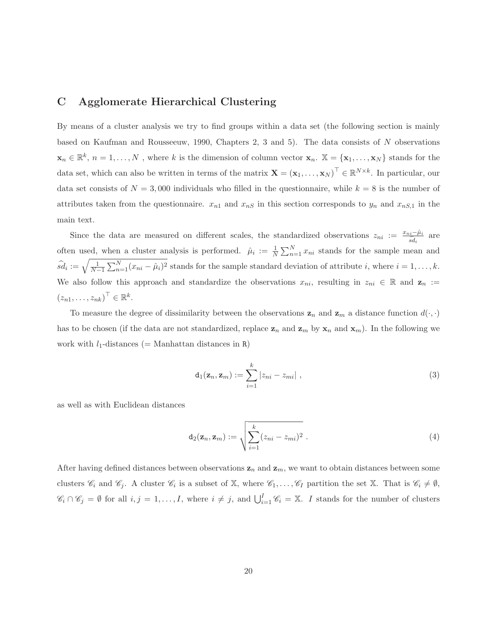#### **C Agglomerate Hierarchical Clustering**

By means of a cluster analysis we try to find groups within a data set (the following section is mainly based on Kaufman and Rousseeuw, 1990, Chapters 2, 3 and 5). The data consists of N observations  $\mathbf{x}_n \in \mathbb{R}^k$ ,  $n = 1, \ldots, N$ , where k is the dimension of column vector  $\mathbf{x}_n$ .  $\mathbb{X} = {\mathbf{x}_1, \ldots, \mathbf{x}_N}$  stands for the data set, which can also be written in terms of the matrix  $\mathbf{X} = (\mathbf{x}_1, \dots, \mathbf{x}_N)^\top \in \mathbb{R}^{N \times k}$ . In particular, our data set consists of  $N = 3,000$  individuals who filled in the questionnaire, while  $k = 8$  is the number of attributes taken from the questionnaire.  $x_{n1}$  and  $x_{nS}$  in this section corresponds to  $y_n$  and  $x_{nS,1}$  in the main text.

n text.<br>Since the data are measured on different scales, the standardized observations  $z_{ni} := \frac{x_{ni}-\hat{\mu}_i}{\hat{sd}_i}$  are often used, when a cluster analysis is performed.  $\hat{\mu}_i := \frac{1}{N} \sum_{n=1}^N x_{ni}$  stands for the sample mean and  $\widehat{sd}_i := \sqrt{\frac{1}{N-1} \sum_{n=1}^N (x_{ni} - \hat{\mu}_i)^2}$  stands for the sample standard deviation of attribute i, where  $i = 1, ..., k$ . We also follow this approach and standardize the observations  $x_{ni}$ , resulting in  $z_{ni} \in \mathbb{R}$  and  $\mathbf{z}_n :=$  $(z_{n1},\ldots,z_{nk})^{\top} \in \mathbb{R}^k$ .

To measure the degree of dissimilarity between the observations  $z_n$  and  $z_m$  a distance function  $d(\cdot, \cdot)$ has to be chosen (if the data are not standardized, replace  $z_n$  and  $z_m$  by  $x_n$  and  $x_m$ ). In the following we work with  $l_1$ -distances (= Manhattan distances in R)

$$
\mathbf{d}_1(\mathbf{z}_n, \mathbf{z}_m) := \sum_{i=1}^k |z_{ni} - z_{mi}| \;, \tag{3}
$$

as well as with Euclidean distances

$$
\mathbf{d}_2(\mathbf{z}_n, \mathbf{z}_m) := \sqrt{\sum_{i=1}^k (z_{ni} - z_{mi})^2} \ . \tag{4}
$$

After having defined distances between observations  $z_n$  and  $z_m$ , we want to obtain distances between some clusters  $\mathscr{C}_i$  and  $\mathscr{C}_j$ . A cluster  $\mathscr{C}_i$  is a subset of X, where  $\mathscr{C}_1,\ldots,\mathscr{C}_I$  partition the set X. That is  $\mathscr{C}_i \neq \emptyset$ ,  $\mathscr{C}_i \cap \mathscr{C}_j = \emptyset$  for all  $i, j = 1, \ldots, I$ , where  $i \neq j$ , and  $\bigcup_{i=1}^I \mathscr{C}_i = \mathbb{X}$ . I stands for the number of clusters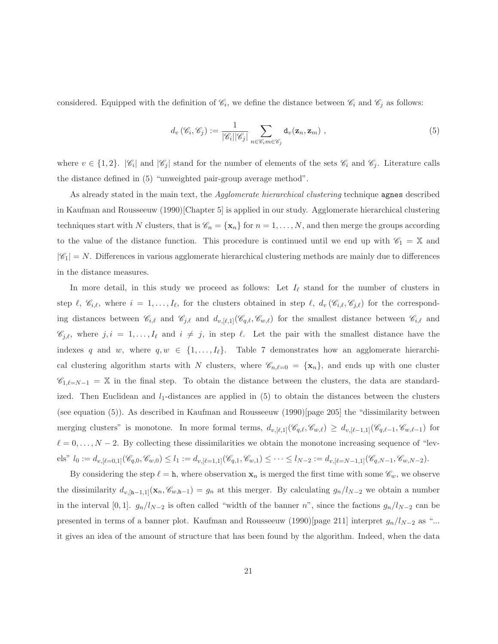considered. Equipped with the definition of  $\mathcal{C}_i$ , we define the distance between  $\mathcal{C}_i$  and  $\mathcal{C}_j$  as follows:

$$
d_v(\mathscr{C}_i, \mathscr{C}_j) := \frac{1}{|\mathscr{C}_i||\mathscr{C}_j|} \sum_{n \in \mathscr{C}_i m \in \mathscr{C}_j} d_v(\mathbf{z}_n, \mathbf{z}_m) ,
$$
 (5)

where  $v \in \{1,2\}$ .  $|\mathscr{C}_i|$  and  $|\mathscr{C}_j|$  stand for the number of elements of the sets  $\mathscr{C}_i$  and  $\mathscr{C}_j$ . Literature calls the distance defined in (5) "unweighted pair-group average method".

As already stated in the main text, the *Agglomerate hierarchical clustering* technique **agnes** described in Kaufman and Rousseeuw (1990)[Chapter 5] is applied in our study. Agglomerate hierarchical clustering techniques start with N clusters, that is  $\mathscr{C}_n = {\mathbf{x}_n}$  for  $n = 1, ..., N$ , and then merge the groups according to the value of the distance function. This procedure is continued until we end up with  $\mathscr{C}_1 = \mathbb{X}$  and  $|\mathscr{C}_1| = N$ . Differences in various agglomerate hierarchical clustering methods are mainly due to differences in the distance measures.

In more detail, in this study we proceed as follows: Let  $I_{\ell}$  stand for the number of clusters in step  $\ell$ ,  $\mathscr{C}_{i,\ell}$ , where  $i = 1,\ldots,I_{\ell}$ , for the clusters obtained in step  $\ell$ ,  $d_v(\mathscr{C}_{i,\ell},\mathscr{C}_{j,\ell})$  for the corresponding distances between  $\mathscr{C}_{i,\ell}$  and  $\mathscr{C}_{j,\ell}$  and  $d_{v,[\ell,1]}(\mathscr{C}_{q,\ell}, \mathscr{C}_{w,\ell})$  for the smallest distance between  $\mathscr{C}_{i,\ell}$  and  $\mathscr{C}_{j,\ell}$ , where  $j, i = 1,\ldots,I_{\ell}$  and  $i \neq j$ , in step  $\ell$ . Let the pair with the smallest distance have the indexes q and w, where  $q, w \in \{1, ..., I_\ell\}$ . Table 7 demonstrates how an agglomerate hierarchical clustering algorithm starts with N clusters, where  $\mathscr{C}_{n,\ell=0} = {\mathbf{x}_n}$ , and ends up with one cluster  $\mathscr{C}_{1,\ell=N-1} = \mathbb{X}$  in the final step. To obtain the distance between the clusters, the data are standardized. Then Euclidean and  $l_1$ -distances are applied in (5) to obtain the distances between the clusters (see equation  $(5)$ ). As described in Kaufman and Rousseeuw  $(1990)$ [page 205] the "dissimilarity between merging clusters" is monotone. In more formal terms,  $d_{v,[\ell,1]}(\mathscr{C}_{q,\ell}, \mathscr{C}_{w,\ell}) \geq d_{v,[\ell-1,1]}(\mathscr{C}_{q,\ell-1}, \mathscr{C}_{w,\ell-1})$  for  $\ell = 0,\ldots,N-2$ . By collecting these dissimilarities we obtain the monotone increasing sequence of "lev- $\text{els" } l_0 := d_{v, [\ell = 0,1]} (\mathscr{C}_{q,0}, \mathscr{C}_{w,0}) \leq l_1 := d_{v, [\ell = 1,1]} (\mathscr{C}_{q,1}, \mathscr{C}_{w,1}) \leq \cdots \leq l_{N-2} := d_{v, [\ell = N-1,1]} (\mathscr{C}_{q,N-1}, \mathscr{C}_{w,N-2}).$ 

By considering the step  $\ell = h$ , where observation  $x_n$  is merged the first time with some  $\mathscr{C}_w$ , we observe the dissimilarity  $d_{v,[h-1,1]}(x_n, \mathscr{C}_{w,h-1}) = g_n$  at this merger. By calculating  $g_n/l_{N-2}$  we obtain a number in the interval [0, 1].  $g_n/l_{N-2}$  is often called "width of the banner n", since the factions  $g_n/l_{N-2}$  can be presented in terms of a banner plot. Kaufman and Rousseeuw (1990)[page 211] interpret  $g_n/l_{N-2}$  as "... it gives an idea of the amount of structure that has been found by the algorithm. Indeed, when the data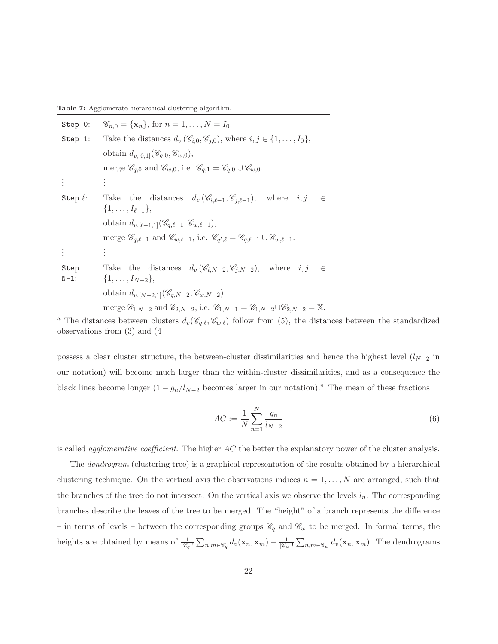**Table 7:** Agglomerate hierarchical clustering algorithm.

| Step 0:         | $\mathscr{C}_{n,0} = {\mathbf{x}_n}$ , for $n = 1, , N = I_0$ .                                                                                   |
|-----------------|---------------------------------------------------------------------------------------------------------------------------------------------------|
| Step 1:         | Take the distances $d_v(\mathscr{C}_{i,0}, \mathscr{C}_{j,0}),$ where $i, j \in \{1, \ldots, I_0\},$                                              |
|                 | obtain $d_{v,[0,1]}(\mathscr{C}_{q,0},\mathscr{C}_{w,0}),$                                                                                        |
|                 | merge $\mathscr{C}_{q,0}$ and $\mathscr{C}_{w,0}$ , i.e. $\mathscr{C}_{q,1} = \mathscr{C}_{q,0} \cup \mathscr{C}_{w,0}$ .                         |
|                 |                                                                                                                                                   |
| Step $\ell$ :   | Take the distances $d_v(\mathscr{C}_{i,\ell-1},\mathscr{C}_{j,\ell-1}),$ where $i,j$<br>$\in$<br>$\{1,\ldots,I_{\ell-1}\},\$                      |
|                 | obtain $d_{v, [\ell-1,1]}(\mathscr{C}_{q,\ell-1}, \mathscr{C}_{w,\ell-1}),$                                                                       |
|                 | merge $\mathscr{C}_{q,\ell-1}$ and $\mathscr{C}_{w,\ell-1}$ , i.e. $\mathscr{C}_{q',\ell} = \mathscr{C}_{q,\ell-1} \cup \mathscr{C}_{w,\ell-1}$ . |
|                 | ×,                                                                                                                                                |
| Step<br>$N-1$ : | Take the distances $d_v(\mathscr{C}_{i,N-2},\mathscr{C}_{i,N-2}),$ where $i,j \in$<br>$\{1,\ldots,I_{N-2}\},\$                                    |
|                 | obtain $d_{v,[N-2,1]}(\mathscr{C}_{q,N-2},\mathscr{C}_{w,N-2}),$                                                                                  |
|                 | merge $C_{1,N-2}$ and $C_{2,N-2}$ , i.e. $C_{1,N-1} = C_{1,N-2} \cup C_{2,N-2} = \mathbb{X}$ .                                                    |

<sup>a</sup> The distances between clusters  $d_v(\mathscr{C}_{q,\ell}, \mathscr{C}_{w,\ell})$  follow from (5), the distances between the standardized observations from (3) and (4

possess a clear cluster structure, the between-cluster dissimilarities and hence the highest level  $(l_{N-2}$  in our notation) will become much larger than the within-cluster dissimilarities, and as a consequence the black lines become longer  $(1 - g_n/l_{N-2})$  becomes larger in our notation)." The mean of these fractions

$$
AC := \frac{1}{N} \sum_{n=1}^{N} \frac{g_n}{l_{N-2}}
$$
(6)

is called *agglomerative coefficient*. The higher  $AC$  the better the explanatory power of the cluster analysis.

The dendrogram (clustering tree) is a graphical representation of the results obtained by a hierarchical clustering technique. On the vertical axis the observations indices  $n = 1, \ldots, N$  are arranged, such that the branches of the tree do not intersect. On the vertical axis we observe the levels  $l_n$ . The corresponding branches describe the leaves of the tree to be merged. The "height" of a branch represents the difference – in terms of levels – between the corresponding groups  $\mathscr{C}_q$  and  $\mathscr{C}_w$  to be merged. In formal terms, the heights are obtained by means of  $\frac{1}{|\mathscr{C}_q|!}$  $\sum_{n,m\in\mathscr{C}_q}d_v(\mathbf{x}_n,\mathbf{x}_m)-\frac{1}{|\mathscr{C}_w|!}$  $\sum_{n,m\in\mathscr{C}_w} d_v(\mathbf{x}_n, \mathbf{x}_m)$ . The dendrograms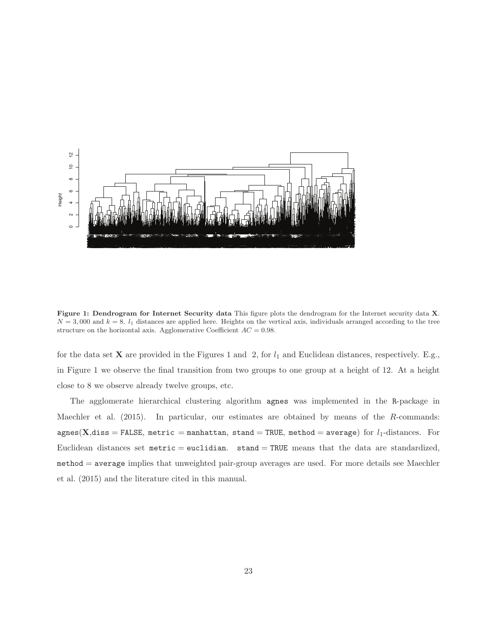

**Figure 1: Dendrogram for Internet Security data** This figure plots the dendrogram for the Internet security data **X**.  $N = 3,000$  and  $k = 8$ .  $l_1$  distances are applied here. Heights on the vertical axis, individuals arranged according to the tree structure on the horizontal axis. Agglomerative Coefficient  $AC = 0.98$ .

for the data set **X** are provided in the Figures 1 and 2, for  $l_1$  and Euclidean distances, respectively. E.g., in Figure 1 we observe the final transition from two groups to one group at a height of 12. At a height close to 8 we observe already twelve groups, etc.

The agglomerate hierarchical clustering algorithm agnes was implemented in the R-package in Maechler et al. (2015). In particular, our estimates are obtained by means of the R-commands:  $agnes(X, diss = FALSE, metric = manufacturer, stand = TRUE, method = average)$  for  $l_1$ -distances. For Euclidean distances set  $metric = euclidean$ . stand  $= TRUE$  means that the data are standardized, method = average implies that unweighted pair-group averages are used. For more details see Maechler et al. (2015) and the literature cited in this manual.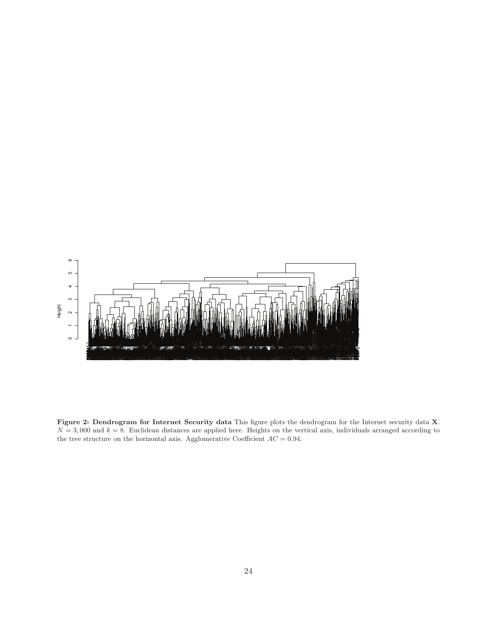

**Figure 2: Dendrogram for Internet Security data** This figure plots the dendrogram for the Internet security data **X**.  $N = 3,000$  and  $k = 8$ . Euclidean distances are applied here. Heights on the vertical axis, individuals arranged according to the tree structure on the horizontal axis. Agglomerative Coefficient  $AC = 0.94$ .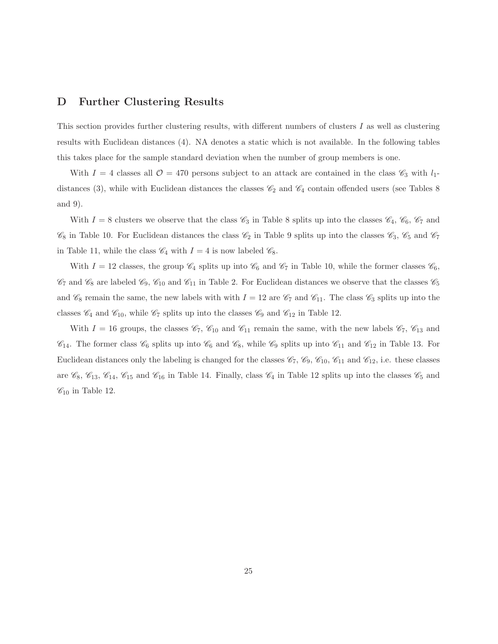#### **D Further Clustering Results**

This section provides further clustering results, with different numbers of clusters I as well as clustering results with Euclidean distances (4). NA denotes a static which is not available. In the following tables this takes place for the sample standard deviation when the number of group members is one.

With  $I = 4$  classes all  $\mathcal{O} = 470$  persons subject to an attack are contained in the class  $\mathcal{C}_3$  with  $l_1$ distances (3), while with Euclidean distances the classes  $\mathcal{C}_2$  and  $\mathcal{C}_4$  contain offended users (see Tables 8) and 9).

With  $I = 8$  clusters we observe that the class  $\mathcal{C}_3$  in Table 8 splits up into the classes  $\mathcal{C}_4$ ,  $\mathcal{C}_6$ ,  $\mathcal{C}_7$  and  $\mathscr{C}_8$  in Table 10. For Euclidean distances the class  $\mathscr{C}_2$  in Table 9 splits up into the classes  $\mathscr{C}_3$ ,  $\mathscr{C}_5$  and  $\mathscr{C}_7$ in Table 11, while the class  $\mathcal{C}_4$  with  $I = 4$  is now labeled  $\mathcal{C}_8$ .

With  $I = 12$  classes, the group  $\mathcal{C}_4$  splits up into  $\mathcal{C}_6$  and  $\mathcal{C}_7$  in Table 10, while the former classes  $\mathcal{C}_6$ ,  $\mathcal{C}_7$  and  $\mathcal{C}_8$  are labeled  $\mathcal{C}_9$ ,  $\mathcal{C}_{10}$  and  $\mathcal{C}_{11}$  in Table 2. For Euclidean distances we observe that the classes  $\mathcal{C}_5$ and  $\mathcal{C}_8$  remain the same, the new labels with with  $I = 12$  are  $\mathcal{C}_7$  and  $\mathcal{C}_{11}$ . The class  $\mathcal{C}_3$  splits up into the classes  $\mathcal{C}_4$  and  $\mathcal{C}_{10}$ , while  $\mathcal{C}_7$  splits up into the classes  $\mathcal{C}_9$  and  $\mathcal{C}_{12}$  in Table 12.

With  $I = 16$  groups, the classes  $\mathcal{C}_7$ ,  $\mathcal{C}_{10}$  and  $\mathcal{C}_{11}$  remain the same, with the new labels  $\mathcal{C}_7$ ,  $\mathcal{C}_{13}$  and  $\mathcal{C}_{14}$ . The former class  $\mathcal{C}_6$  splits up into  $\mathcal{C}_6$  and  $\mathcal{C}_8$ , while  $\mathcal{C}_9$  splits up into  $\mathcal{C}_{11}$  and  $\mathcal{C}_{12}$  in Table 13. For Euclidean distances only the labeling is changed for the classes  $\mathcal{C}_7$ ,  $\mathcal{C}_9$ ,  $\mathcal{C}_{10}$ ,  $\mathcal{C}_{11}$  and  $\mathcal{C}_{12}$ , i.e. these classes are  $\mathscr{C}_8$ ,  $\mathscr{C}_{13}$ ,  $\mathscr{C}_{14}$ ,  $\mathscr{C}_{15}$  and  $\mathscr{C}_{16}$  in Table 14. Finally, class  $\mathscr{C}_4$  in Table 12 splits up into the classes  $\mathscr{C}_5$  and  $\mathscr{C}_{10}$  in Table 12.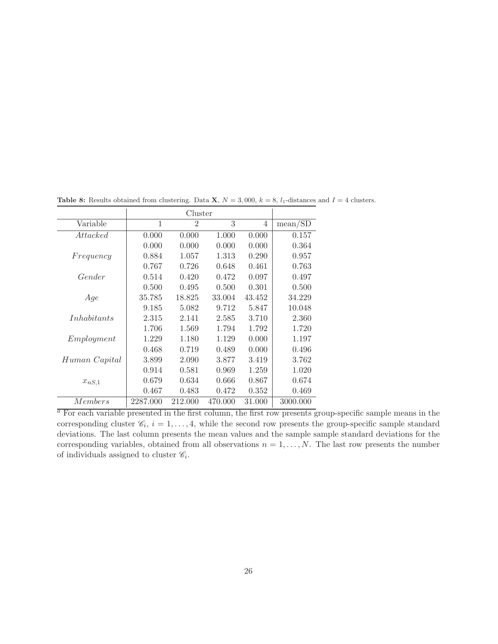|                 |          | Cluster        |         |        |          |
|-----------------|----------|----------------|---------|--------|----------|
| Variable        | 1        | $\overline{2}$ | 3       | 4      | mean/SD  |
| <i>Attacked</i> | 0.000    | 0.000          | 1.000   | 0.000  | 0.157    |
|                 | 0.000    | 0.000          | 0.000   | 0.000  | 0.364    |
| Frequency       | 0.884    | 1.057          | 1.313   | 0.290  | 0.957    |
|                 | 0.767    | 0.726          | 0.648   | 0.461  | 0.763    |
| Gender          | 0.514    | 0.420          | 0.472   | 0.097  | 0.497    |
|                 | 0.500    | 0.495          | 0.500   | 0.301  | 0.500    |
| Age             | 35.785   | 18.825         | 33.004  | 43.452 | 34.229   |
|                 | 9.185    | 5.082          | 9.712   | 5.847  | 10.048   |
| Inhabitants     | 2.315    | 2.141          | 2.585   | 3.710  | 2.360    |
|                 | 1.706    | 1.569          | 1.794   | 1.792  | 1.720    |
| Employment      | 1.229    | 1.180          | 1.129   | 0.000  | 1.197    |
|                 | 0.468    | 0.719          | 0.489   | 0.000  | 0.496    |
| Human Capital   | 3.899    | 2.090          | 3.877   | 3.419  | 3.762    |
|                 | 0.914    | 0.581          | 0.969   | 1.259  | 1.020    |
| $x_{nS,1}$      | 0.679    | 0.634          | 0.666   | 0.867  | 0.674    |
|                 | 0.467    | 0.483          | 0.472   | 0.352  | 0.469    |
| Members         | 2287.000 | 212.000        | 470.000 | 31.000 | 3000.000 |

**Table 8:** Results obtained from clustering. Data **X**,  $N = 3,000$ ,  $k = 8$ ,  $l_1$ -distances and  $I = 4$  clusters.

 $a$  For each variable presented in the first column, the first row presents group-specific sample means in the corresponding cluster  $\mathcal{C}_i$ ,  $i = 1, \ldots, 4$ , while the second row presents the group-specific sample standard deviations. The last column presents the mean values and the sample sample standard deviations for the corresponding variables, obtained from all observations  $n = 1, \ldots, N$ . The last row presents the number of individuals assigned to cluster  $\mathscr{C}_i$ .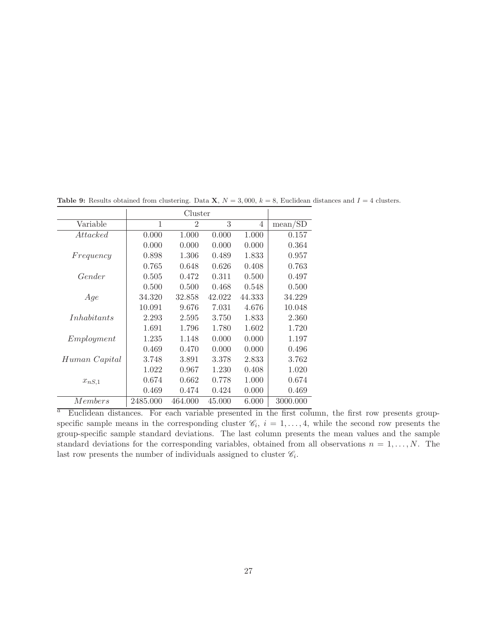|                    |          | Cluster        |        |                |          |
|--------------------|----------|----------------|--------|----------------|----------|
| Variable           | 1        | $\mathfrak{D}$ | 3      | $\overline{4}$ | mean/SD  |
| Attacked           | 0.000    | 1.000          | 0.000  | 1.000          | 0.157    |
|                    | 0.000    | 0.000          | 0.000  | 0.000          | 0.364    |
| Frequency          | 0.898    | 1.306          | 0.489  | 1.833          | 0.957    |
|                    | 0.765    | 0.648          | 0.626  | 0.408          | 0.763    |
| Gender             | 0.505    | 0.472          | 0.311  | 0.500          | 0.497    |
|                    | 0.500    | 0.500          | 0.468  | 0.548          | 0.500    |
| Age                | 34.320   | 32.858         | 42.022 | 44.333         | 34.229   |
|                    | 10.091   | 9.676          | 7.031  | 4.676          | 10.048   |
| <i>Inhabitants</i> | 2.293    | 2.595          | 3.750  | 1.833          | 2.360    |
|                    | 1.691    | 1.796          | 1.780  | 1.602          | 1.720    |
| Emplogment         | 1.235    | 1.148          | 0.000  | 0.000          | 1.197    |
|                    | 0.469    | 0.470          | 0.000  | 0.000          | 0.496    |
| Human Capital      | 3.748    | 3.891          | 3.378  | 2.833          | 3.762    |
|                    | 1.022    | 0.967          | 1.230  | 0.408          | 1.020    |
| $x_{nS,1}$         | 0.674    | 0.662          | 0.778  | 1.000          | 0.674    |
|                    | 0.469    | 0.474          | 0.424  | 0.000          | 0.469    |
| Members            | 2485.000 | 464.000        | 45.000 | 6.000          | 3000.000 |

**Table 9:** Results obtained from clustering. Data **X**,  $N = 3,000$ ,  $k = 8$ , Euclidean distances and  $I = 4$  clusters.

 $a$  Euclidean distances. For each variable presented in the first column, the first row presents groupspecific sample means in the corresponding cluster  $\mathscr{C}_i$ ,  $i = 1, \ldots, 4$ , while the second row presents the group-specific sample standard deviations. The last column presents the mean values and the sample standard deviations for the corresponding variables, obtained from all observations  $n = 1, \ldots, N$ . The last row presents the number of individuals assigned to cluster  $\mathscr{C}_i$ .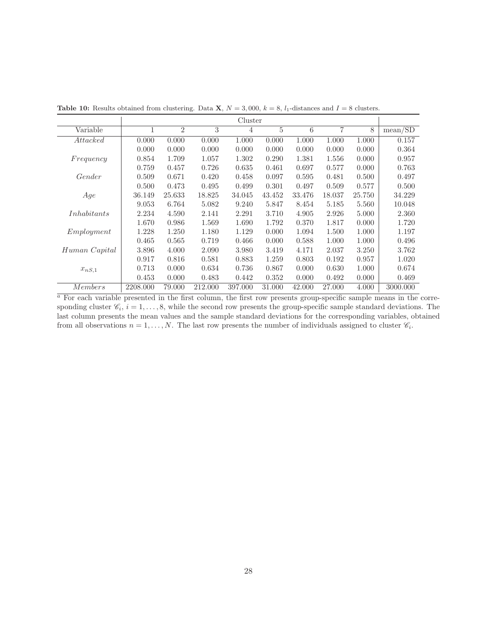|                |          |                |         | Cluster |        |        |        |        |          |
|----------------|----------|----------------|---------|---------|--------|--------|--------|--------|----------|
| Variable       |          | $\overline{2}$ | 3       | 4       | 5      | 6      | 7      | 8      | mean/SD  |
| Attacked       | 0.000    | 0.000          | 0.000   | 1.000   | 0.000  | 1.000  | 1.000  | 1.000  | 0.157    |
|                | 0.000    | 0.000          | 0.000   | 0.000   | 0.000  | 0.000  | 0.000  | 0.000  | 0.364    |
| Frequency      | 0.854    | 1.709          | 1.057   | 1.302   | 0.290  | 1.381  | 1.556  | 0.000  | 0.957    |
|                | 0.759    | 0.457          | 0.726   | 0.635   | 0.461  | 0.697  | 0.577  | 0.000  | 0.763    |
| Gender         | 0.509    | 0.671          | 0.420   | 0.458   | 0.097  | 0.595  | 0.481  | 0.500  | 0.497    |
|                | 0.500    | 0.473          | 0.495   | 0.499   | 0.301  | 0.497  | 0.509  | 0.577  | 0.500    |
| Age            | 36.149   | 25.633         | 18.825  | 34.045  | 43.452 | 33.476 | 18.037 | 25.750 | 34.229   |
|                | 9.053    | 6.764          | 5.082   | 9.240   | 5.847  | 8.454  | 5.185  | 5.560  | 10.048   |
| Inhabitants    | 2.234    | 4.590          | 2.141   | 2.291   | 3.710  | 4.905  | 2.926  | 5.000  | 2.360    |
|                | 1.670    | 0.986          | 1.569   | 1.690   | 1.792  | 0.370  | 1.817  | 0.000  | 1.720    |
| Emplyyment     | 1.228    | 1.250          | 1.180   | 1.129   | 0.000  | 1.094  | 1.500  | 1.000  | 1.197    |
|                | 0.465    | 0.565          | 0.719   | 0.466   | 0.000  | 0.588  | 1.000  | 1.000  | 0.496    |
| Human Capital  | 3.896    | 4.000          | 2.090   | 3.980   | 3.419  | 4.171  | 2.037  | 3.250  | 3.762    |
|                | 0.917    | 0.816          | 0.581   | 0.883   | 1.259  | 0.803  | 0.192  | 0.957  | 1.020    |
| $x_{nS,1}$     | 0.713    | 0.000          | 0.634   | 0.736   | 0.867  | 0.000  | 0.630  | 1.000  | 0.674    |
|                | 0.453    | 0.000          | 0.483   | 0.442   | 0.352  | 0.000  | 0.492  | 0.000  | 0.469    |
| <i>Members</i> | 2208.000 | 79.000         | 212.000 | 397.000 | 31.000 | 42.000 | 27.000 | 4.000  | 3000.000 |

**Table 10:** Results obtained from clustering. Data **X**,  $N = 3,000$ ,  $k = 8$ ,  $l_1$ -distances and  $I = 8$  clusters.

 $a$  For each variable presented in the first column, the first row presents group-specific sample means in the corresponding cluster  $\mathcal{C}_i$ ,  $i = 1, \ldots, 8$ , while the second row presents the group-specific sample standard deviations. The last column presents the mean values and the sample standard deviations for the corresponding variables, obtained from all observations  $n = 1, \ldots, N$ . The last row presents the number of individuals assigned to cluster  $\mathscr{C}_i$ .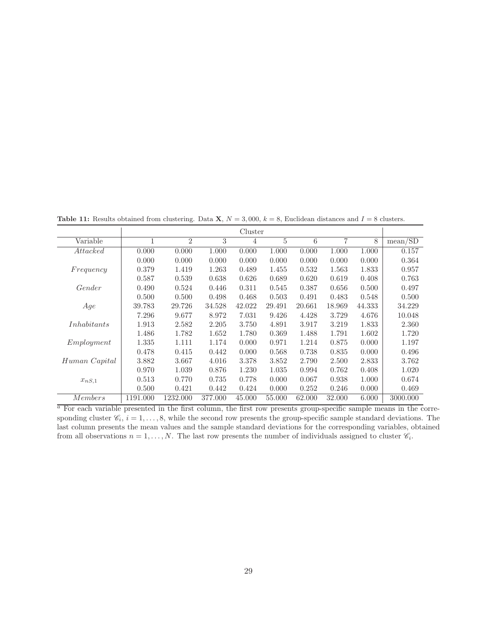**Table 11:** Results obtained from clustering. Data **X**,  $N = 3,000$ ,  $k = 8$ , Euclidean distances and  $I = 8$  clusters.

|                |              | $\circ$        |         |         |        |        |        |        |          |
|----------------|--------------|----------------|---------|---------|--------|--------|--------|--------|----------|
|                |              |                |         | Cluster |        |        |        |        |          |
| Variable       | $\mathbf{1}$ | $\overline{2}$ | 3       | 4       | 5      | 6      | 7      | 8      | mean/SD  |
| Attacked       | 0.000        | 0.000          | 1.000   | 0.000   | 1.000  | 0.000  | 1.000  | 1.000  | 0.157    |
|                | 0.000        | 0.000          | 0.000   | 0.000   | 0.000  | 0.000  | 0.000  | 0.000  | 0.364    |
| Frequency      | 0.379        | 1.419          | 1.263   | 0.489   | 1.455  | 0.532  | 1.563  | 1.833  | 0.957    |
|                | 0.587        | 0.539          | 0.638   | 0.626   | 0.689  | 0.620  | 0.619  | 0.408  | 0.763    |
| Gender         | 0.490        | 0.524          | 0.446   | 0.311   | 0.545  | 0.387  | 0.656  | 0.500  | 0.497    |
|                | 0.500        | 0.500          | 0.498   | 0.468   | 0.503  | 0.491  | 0.483  | 0.548  | 0.500    |
| Age            | 39.783       | 29.726         | 34.528  | 42.022  | 29.491 | 20.661 | 18.969 | 44.333 | 34.229   |
|                | 7.296        | 9.677          | 8.972   | 7.031   | 9.426  | 4.428  | 3.729  | 4.676  | 10.048   |
| Inhabitants    | 1.913        | 2.582          | 2.205   | 3.750   | 4.891  | 3.917  | 3.219  | 1.833  | 2.360    |
|                | 1.486        | 1.782          | 1.652   | 1.780   | 0.369  | 1.488  | 1.791  | 1.602  | 1.720    |
| Employment     | 1.335        | 1.111          | 1.174   | 0.000   | 0.971  | 1.214  | 0.875  | 0.000  | 1.197    |
|                | 0.478        | 0.415          | 0.442   | 0.000   | 0.568  | 0.738  | 0.835  | 0.000  | 0.496    |
| Human Capital  | 3.882        | 3.667          | 4.016   | 3.378   | 3.852  | 2.790  | 2.500  | 2.833  | 3.762    |
|                | 0.970        | 1.039          | 0.876   | 1.230   | 1.035  | 0.994  | 0.762  | 0.408  | 1.020    |
| $x_{nS,1}$     | 0.513        | 0.770          | 0.735   | 0.778   | 0.000  | 0.067  | 0.938  | 1.000  | 0.674    |
|                | 0.500        | 0.421          | 0.442   | 0.424   | 0.000  | 0.252  | 0.246  | 0.000  | 0.469    |
| <i>Members</i> | 1191.000     | 1232.000       | 377.000 | 45.000  | 55.000 | 62.000 | 32.000 | 6.000  | 3000.000 |

 $\overline{a}$  For each variable presented in the first column, the first row presents group-specific sample means in the corresponding cluster  $\mathcal{C}_i$ ,  $i = 1, \ldots, 8$ , while the second row presents the group-specific sample standard deviations. The last column presents the mean values and the sample standard deviations for the corresponding variables, obtained from all observations  $n = 1, \ldots, N$ . The last row presents the number of individuals assigned to cluster  $\mathscr{C}_i$ .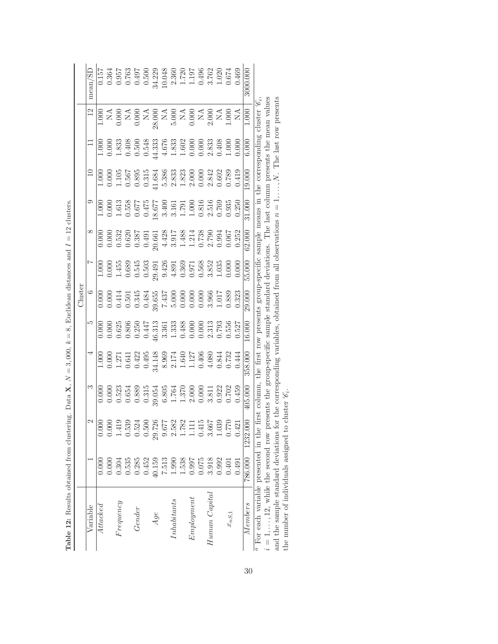| Variable                                                                                                                                |         |                          |             |                                                                                                                                                                                                                                                                   |                                                                                                                                                                                                                                                                   | Cluster                                                                                                                                                                                                                                                                                             |        |        |                                                                                                                                                                                                                                                                            |                                                                       |                                                                                                                                                                                                                                                                       |                                                                                                                                                                                                                                                                                                                                                                             |                                                                                                                                                                                                                                                                                                     |
|-----------------------------------------------------------------------------------------------------------------------------------------|---------|--------------------------|-------------|-------------------------------------------------------------------------------------------------------------------------------------------------------------------------------------------------------------------------------------------------------------------|-------------------------------------------------------------------------------------------------------------------------------------------------------------------------------------------------------------------------------------------------------------------|-----------------------------------------------------------------------------------------------------------------------------------------------------------------------------------------------------------------------------------------------------------------------------------------------------|--------|--------|----------------------------------------------------------------------------------------------------------------------------------------------------------------------------------------------------------------------------------------------------------------------------|-----------------------------------------------------------------------|-----------------------------------------------------------------------------------------------------------------------------------------------------------------------------------------------------------------------------------------------------------------------|-----------------------------------------------------------------------------------------------------------------------------------------------------------------------------------------------------------------------------------------------------------------------------------------------------------------------------------------------------------------------------|-----------------------------------------------------------------------------------------------------------------------------------------------------------------------------------------------------------------------------------------------------------------------------------------------------|
|                                                                                                                                         |         | $\mathfrak{g}$           | S           |                                                                                                                                                                                                                                                                   |                                                                                                                                                                                                                                                                   |                                                                                                                                                                                                                                                                                                     |        |        |                                                                                                                                                                                                                                                                            |                                                                       |                                                                                                                                                                                                                                                                       |                                                                                                                                                                                                                                                                                                                                                                             | mean/SD                                                                                                                                                                                                                                                                                             |
| Attacked                                                                                                                                | 0.000   | $\widetilde{\mathrm{O}}$ |             |                                                                                                                                                                                                                                                                   |                                                                                                                                                                                                                                                                   |                                                                                                                                                                                                                                                                                                     |        |        |                                                                                                                                                                                                                                                                            |                                                                       |                                                                                                                                                                                                                                                                       |                                                                                                                                                                                                                                                                                                                                                                             |                                                                                                                                                                                                                                                                                                     |
|                                                                                                                                         | 0.000   | $\bar{0}$                |             |                                                                                                                                                                                                                                                                   |                                                                                                                                                                                                                                                                   |                                                                                                                                                                                                                                                                                                     |        |        |                                                                                                                                                                                                                                                                            |                                                                       |                                                                                                                                                                                                                                                                       |                                                                                                                                                                                                                                                                                                                                                                             |                                                                                                                                                                                                                                                                                                     |
| $F$ requency                                                                                                                            | 0.304   | $\frac{1}{4!}$           |             |                                                                                                                                                                                                                                                                   |                                                                                                                                                                                                                                                                   |                                                                                                                                                                                                                                                                                                     |        |        |                                                                                                                                                                                                                                                                            |                                                                       |                                                                                                                                                                                                                                                                       |                                                                                                                                                                                                                                                                                                                                                                             |                                                                                                                                                                                                                                                                                                     |
|                                                                                                                                         | 0.535   | 0.53                     |             | $\begin{array}{r} 1.000\\ 1.0100\\ 2.1111\\ 0.0000\\ 1.01111\\ 0.0000\\ 0.0000\\ 0.0000\\ 0.0000\\ 0.0000\\ 0.0000\\ 0.0000\\ 0.0000\\ 0.0000\\ 0.0000\\ 0.0000\\ 0.0000\\ 0.0000\\ 0.0000\\ 0.0000\\ 0.0000\\ 0.0000\\ 0.0000\\ 0.0000\\ 0.0000\\ 0.0000\\ 0.00$ |                                                                                                                                                                                                                                                                   |                                                                                                                                                                                                                                                                                                     |        |        |                                                                                                                                                                                                                                                                            |                                                                       |                                                                                                                                                                                                                                                                       |                                                                                                                                                                                                                                                                                                                                                                             |                                                                                                                                                                                                                                                                                                     |
| Gender                                                                                                                                  | 0.285   | $0.52^{1}$               |             |                                                                                                                                                                                                                                                                   |                                                                                                                                                                                                                                                                   |                                                                                                                                                                                                                                                                                                     |        |        |                                                                                                                                                                                                                                                                            |                                                                       |                                                                                                                                                                                                                                                                       |                                                                                                                                                                                                                                                                                                                                                                             |                                                                                                                                                                                                                                                                                                     |
|                                                                                                                                         | 0.452   | 0.500                    |             |                                                                                                                                                                                                                                                                   |                                                                                                                                                                                                                                                                   |                                                                                                                                                                                                                                                                                                     |        |        |                                                                                                                                                                                                                                                                            |                                                                       |                                                                                                                                                                                                                                                                       |                                                                                                                                                                                                                                                                                                                                                                             |                                                                                                                                                                                                                                                                                                     |
| Age                                                                                                                                     | 40.159  | 29.726                   |             |                                                                                                                                                                                                                                                                   |                                                                                                                                                                                                                                                                   |                                                                                                                                                                                                                                                                                                     |        |        |                                                                                                                                                                                                                                                                            |                                                                       |                                                                                                                                                                                                                                                                       |                                                                                                                                                                                                                                                                                                                                                                             |                                                                                                                                                                                                                                                                                                     |
|                                                                                                                                         | 7.513   | $-29.6$                  |             |                                                                                                                                                                                                                                                                   |                                                                                                                                                                                                                                                                   |                                                                                                                                                                                                                                                                                                     |        |        |                                                                                                                                                                                                                                                                            |                                                                       |                                                                                                                                                                                                                                                                       |                                                                                                                                                                                                                                                                                                                                                                             |                                                                                                                                                                                                                                                                                                     |
| Inhabitants                                                                                                                             | 1.990   | 2.58                     |             |                                                                                                                                                                                                                                                                   |                                                                                                                                                                                                                                                                   |                                                                                                                                                                                                                                                                                                     |        |        |                                                                                                                                                                                                                                                                            |                                                                       |                                                                                                                                                                                                                                                                       |                                                                                                                                                                                                                                                                                                                                                                             |                                                                                                                                                                                                                                                                                                     |
|                                                                                                                                         | 1.538   | $-1.78$                  |             |                                                                                                                                                                                                                                                                   |                                                                                                                                                                                                                                                                   |                                                                                                                                                                                                                                                                                                     |        |        |                                                                                                                                                                                                                                                                            |                                                                       |                                                                                                                                                                                                                                                                       |                                                                                                                                                                                                                                                                                                                                                                             |                                                                                                                                                                                                                                                                                                     |
| Emplogment                                                                                                                              | 0.997   | Ē                        |             |                                                                                                                                                                                                                                                                   |                                                                                                                                                                                                                                                                   |                                                                                                                                                                                                                                                                                                     |        |        |                                                                                                                                                                                                                                                                            |                                                                       |                                                                                                                                                                                                                                                                       |                                                                                                                                                                                                                                                                                                                                                                             |                                                                                                                                                                                                                                                                                                     |
|                                                                                                                                         | 0.075   | 0.41                     |             |                                                                                                                                                                                                                                                                   |                                                                                                                                                                                                                                                                   |                                                                                                                                                                                                                                                                                                     |        |        |                                                                                                                                                                                                                                                                            |                                                                       |                                                                                                                                                                                                                                                                       |                                                                                                                                                                                                                                                                                                                                                                             |                                                                                                                                                                                                                                                                                                     |
| Human Capital                                                                                                                           | 3.918   | $3.66^{\circ}$           |             |                                                                                                                                                                                                                                                                   |                                                                                                                                                                                                                                                                   |                                                                                                                                                                                                                                                                                                     |        |        |                                                                                                                                                                                                                                                                            |                                                                       |                                                                                                                                                                                                                                                                       |                                                                                                                                                                                                                                                                                                                                                                             |                                                                                                                                                                                                                                                                                                     |
|                                                                                                                                         | 0.992   | 1.03                     |             |                                                                                                                                                                                                                                                                   |                                                                                                                                                                                                                                                                   |                                                                                                                                                                                                                                                                                                     |        |        |                                                                                                                                                                                                                                                                            |                                                                       |                                                                                                                                                                                                                                                                       |                                                                                                                                                                                                                                                                                                                                                                             |                                                                                                                                                                                                                                                                                                     |
| $x_{nS,1}$                                                                                                                              | 0.401   | 0.771                    |             |                                                                                                                                                                                                                                                                   |                                                                                                                                                                                                                                                                   |                                                                                                                                                                                                                                                                                                     |        |        |                                                                                                                                                                                                                                                                            |                                                                       |                                                                                                                                                                                                                                                                       |                                                                                                                                                                                                                                                                                                                                                                             |                                                                                                                                                                                                                                                                                                     |
|                                                                                                                                         | 0.491   | 0.42                     |             |                                                                                                                                                                                                                                                                   | $\begin{array}{r} 0.0000\\ 0.0000\\ 0.0000\\ 0.0000\\ 0.0000\\ 0.0000\\ 0.0000\\ 0.0000\\ 0.0000\\ 0.0000\\ 0.0000\\ 0.0000\\ 0.0000\\ 0.0000\\ 0.0000\\ 0.0000\\ 0.0000\\ 0.0000\\ 0.0000\\ 0.0000\\ 0.0000\\ 0.0000\\ 0.0000\\ 0.0000\\ 0.0000\\ 0.0000\\ 0.00$ | $\begin{array}{r} 0.000 \\ 0.000 \\ 0.511 \\ 0.511 \\ 0.531 \\ 0.543 \\ 0.531 \\ 0.543 \\ 0.551 \\ 0.531 \\ 0.531 \\ 0.532 \\ 0.543 \\ 0.551 \\ 0.563 \\ 0.571 \\ 0.583 \\ 0.523 \\ 0.533 \\ 0.533 \\ 0.533 \\ 0.533 \\ 0.533 \\ 0.533 \\ 0.533 \\ 0.533 \\ 0.533 \\ 0.533 \\ 0.533 \\ 0.533 \\ 0.$ |        |        | $\begin{array}{r rrrr} \hline 1.000 & 0.000 & 0.000 & 0.000 & 0.000 & 0.000 & 0.000 & 0.000 & 0.000 & 0.000 & 0.000 & 0.000 & 0.000 & 0.000 & 0.000 & 0.000 & 0.000 & 0.000 & 0.000 & 0.000 & 0.000 & 0.000 & 0.000 & 0.000 & 0.000 & 0.000 & 0.000 & 0.000 & 0.000 & 0.0$ |                                                                       | $\begin{array}{l} 1.000\\ 1.0100\\ 1.333\\ 0.540\\ 0.554\\ 0.543\\ 0.543\\ 0.543\\ 0.543\\ 0.543\\ 0.543\\ 0.543\\ 0.543\\ 0.543\\ 0.543\\ 0.543\\ 0.543\\ 0.543\\ 0.543\\ 0.543\\ 0.543\\ 0.543\\ 0.543\\ 0.543\\ 0.543\\ 0.543\\ 0.543\\ 0.543\\ 0.543\\ 0.543\\ 0$ | $\begin{array}{c c} 1.000 \\ \text{C} & \text{C} \\ 0.0000 \\ 0.0000 \\ \text{C} & \text{C} \\ 0.0000 \\ \text{C} & \text{C} \\ 0.0000 \\ \text{C} & \text{C} \\ 0.0000 \\ \text{C} & \text{C} \\ 0.0000 \\ \text{C} & \text{C} \\ 0.0000 \\ \text{C} & \text{C} \\ 0.0000 \\ \text{C} & \text{C} \\ 0.0000 \\ \text{C} & \text{C} \\ 0.0000 \\ \text{C} & \text{C} \\ 0.0$ | $\begin{array}{l} 157 \\ 0.364 \\ 0.957 \\ 0.963 \\ 0.636 \\ 0.636 \\ 0.637 \\ 0.638 \\ 0.638 \\ 0.638 \\ 0.638 \\ 0.638 \\ 0.638 \\ 0.638 \\ 0.638 \\ 0.638 \\ 0.638 \\ 0.638 \\ 0.638 \\ 0.638 \\ 0.638 \\ 0.638 \\ 0.638 \\ 0.638 \\ 0.638 \\ 0.638 \\ 0.638 \\ 0.638 \\ 0.638 \\ 0.638 \\ 0.63$ |
| Members                                                                                                                                 | 786.000 | 1232.00                  |             | 358.00                                                                                                                                                                                                                                                            | 16.000                                                                                                                                                                                                                                                            | 29.000                                                                                                                                                                                                                                                                                              | 55.000 | 62.000 | 31.000                                                                                                                                                                                                                                                                     | 19.000                                                                | 6.00C                                                                                                                                                                                                                                                                 | 1.000                                                                                                                                                                                                                                                                                                                                                                       |                                                                                                                                                                                                                                                                                                     |
| $i = 112$ , while the second row presents the group-specific sample standard deviations.<br>$\alpha$ For each variable presented in the |         |                          | hrst column | the first row presents group-specific sample means in                                                                                                                                                                                                             |                                                                                                                                                                                                                                                                   |                                                                                                                                                                                                                                                                                                     |        |        |                                                                                                                                                                                                                                                                            | The last column presents the mean values<br>the corresponding cluster |                                                                                                                                                                                                                                                                       |                                                                                                                                                                                                                                                                                                                                                                             |                                                                                                                                                                                                                                                                                                     |

| $\ddot{\phantom{a}}$<br>į<br>ĺ                                     |
|--------------------------------------------------------------------|
| $\overline{\mathbf{u}}$<br>l<br>ſ<br>$\overline{\phantom{a}}$<br>I |
| ï                                                                  |
| l                                                                  |
| $\lambda$                                                          |
| $\parallel$                                                        |
| í                                                                  |
| $\sim$ $\sim$                                                      |
| ł<br>֦<br>`                                                        |
| $\parallel$                                                        |
| í                                                                  |
| l<br>}<br>}<br>I                                                   |
| I                                                                  |
| Í<br>J<br>Í<br>š<br>í<br>¢                                         |
| j                                                                  |
|                                                                    |
|                                                                    |
| Ė                                                                  |
| $\frac{1}{1}$<br>ı<br>ł                                            |
| $\overline{\phantom{a}}$<br>ā<br>i<br>Ě                            |

 $i = 1, ..., 12$ , while the second row presents the group-specific sample standard deviations. The last column presents the mean values<br>and the sample standard deviations for the corresponding variables, obtained from all obse  $i = 1, \ldots, 12$ , while the second row presents the group-specific sample standard deviations. The last column presents the mean values and the sample standard deviations for the corresponding variables, obtained from all observations  $n = 1, \ldots, N$ . The last row presents the number of individuals assigned to cluster  $\mathscr{C}_i$ .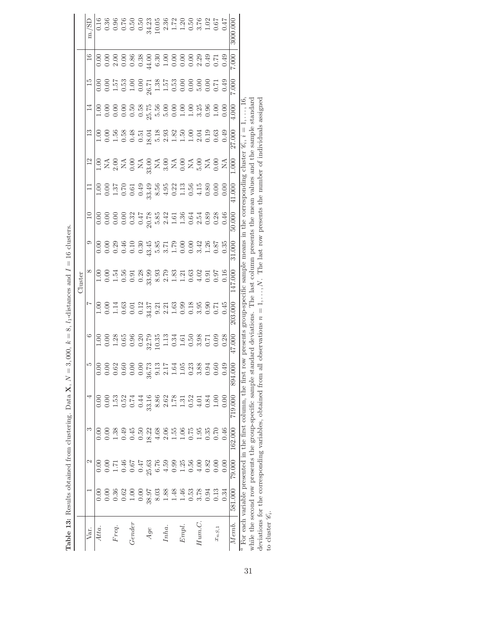| Table 13: Results obtained from clustering. Data X, N               |                          |                                    |          |         | $\left  {}\right $    |          | 3,000, $k = 8$ , $l_1$ -distances and $I = 16$ clusters.                                                                                                                                                                                                                                                                                                                                                        |                                                                                         |        |        |        |       |        |       |       |       |                                                                                                                                                                                                                                                                                   |
|---------------------------------------------------------------------|--------------------------|------------------------------------|----------|---------|-----------------------|----------|-----------------------------------------------------------------------------------------------------------------------------------------------------------------------------------------------------------------------------------------------------------------------------------------------------------------------------------------------------------------------------------------------------------------|-----------------------------------------------------------------------------------------|--------|--------|--------|-------|--------|-------|-------|-------|-----------------------------------------------------------------------------------------------------------------------------------------------------------------------------------------------------------------------------------------------------------------------------------|
|                                                                     |                          |                                    |          |         |                       |          |                                                                                                                                                                                                                                                                                                                                                                                                                 | Cluster                                                                                 |        |        |        |       |        |       |       |       |                                                                                                                                                                                                                                                                                   |
| Vаr.                                                                |                          | N                                  | ಌ        | ₹       |                       |          |                                                                                                                                                                                                                                                                                                                                                                                                                 |                                                                                         |        |        |        |       |        |       |       |       | m./SD                                                                                                                                                                                                                                                                             |
| Atta.                                                               |                          |                                    |          |         |                       |          |                                                                                                                                                                                                                                                                                                                                                                                                                 |                                                                                         |        |        |        |       |        |       |       |       |                                                                                                                                                                                                                                                                                   |
|                                                                     |                          | 0.00                               | 0.00     |         |                       |          |                                                                                                                                                                                                                                                                                                                                                                                                                 |                                                                                         |        |        |        |       |        |       |       |       |                                                                                                                                                                                                                                                                                   |
| Freq.                                                               | 0.36                     | 1.71                               | 1.38     | 1.53    |                       |          |                                                                                                                                                                                                                                                                                                                                                                                                                 |                                                                                         |        |        |        |       |        |       |       |       |                                                                                                                                                                                                                                                                                   |
|                                                                     | 0.62                     | 0.46                               | 0.49     | 0.52    |                       |          |                                                                                                                                                                                                                                                                                                                                                                                                                 |                                                                                         |        |        |        |       |        |       |       |       |                                                                                                                                                                                                                                                                                   |
| Gender                                                              | 1.00                     | 0.67                               | 0.45     | 0.74    |                       |          |                                                                                                                                                                                                                                                                                                                                                                                                                 |                                                                                         |        |        |        |       |        |       |       |       |                                                                                                                                                                                                                                                                                   |
|                                                                     | 0.00                     | 747                                | 0.50     | 0.44    |                       |          |                                                                                                                                                                                                                                                                                                                                                                                                                 |                                                                                         |        |        |        |       |        |       |       |       |                                                                                                                                                                                                                                                                                   |
| Age                                                                 | 38.97                    | 25.63                              | 18.22    | 33.16   |                       |          |                                                                                                                                                                                                                                                                                                                                                                                                                 |                                                                                         |        |        |        |       |        |       |       |       |                                                                                                                                                                                                                                                                                   |
|                                                                     | 8.03                     | 6.76                               | 4.68     | 8.86    |                       |          |                                                                                                                                                                                                                                                                                                                                                                                                                 |                                                                                         |        |        |        |       |        |       |       |       |                                                                                                                                                                                                                                                                                   |
| Inha.                                                               | 1.88                     | 4.59                               | 2.06     | 2.62    |                       |          |                                                                                                                                                                                                                                                                                                                                                                                                                 |                                                                                         |        |        |        |       |        |       |       |       |                                                                                                                                                                                                                                                                                   |
|                                                                     | 1.48                     | 0.99                               | 1.55     | 1.78    |                       |          |                                                                                                                                                                                                                                                                                                                                                                                                                 |                                                                                         |        |        |        |       |        |       |       |       |                                                                                                                                                                                                                                                                                   |
| Empl.                                                               | 1.46                     | 1.25                               | $1.06\,$ | 1.31    |                       |          |                                                                                                                                                                                                                                                                                                                                                                                                                 |                                                                                         |        |        |        |       |        |       |       |       |                                                                                                                                                                                                                                                                                   |
|                                                                     | 0.53                     | 0.56                               | 0.75     | 0.52    |                       |          |                                                                                                                                                                                                                                                                                                                                                                                                                 |                                                                                         |        |        |        |       |        |       |       |       |                                                                                                                                                                                                                                                                                   |
| Hum.C                                                               | 3.78                     | 00 <sub>4</sub>                    | 1.95     | 4.01    |                       |          |                                                                                                                                                                                                                                                                                                                                                                                                                 |                                                                                         |        |        |        |       |        |       |       |       |                                                                                                                                                                                                                                                                                   |
|                                                                     | 0.94                     | 0.82                               | 0.35     | 0.84    |                       |          |                                                                                                                                                                                                                                                                                                                                                                                                                 |                                                                                         |        |        |        |       |        |       |       |       |                                                                                                                                                                                                                                                                                   |
| $x_{nS,1}$                                                          | 0.13                     | 0.00                               | 0.70     | 1.00    |                       |          | $\begin{array}{ l }\hline -\circ\circ\,\stackrel{1}{\circ}\  \  \, \circ\  \  \, \circ\  \  \, \circ\  \  \, \circ\  \  \, \circ\  \  \, \circ\  \  \, \circ\  \  \, \circ\  \  \, \circ\  \  \, \circ\  \  \, \circ\  \  \, \circ\  \  \, \circ\  \  \, \circ\  \  \, \circ\  \  \, \circ\  \  \, \circ\  \  \, \circ\  \  \, \circ\  \  \, \circ\  \  \, \circ\  \  \, \circ\  \  \, \circ\  \  \, \circ\  \$ |                                                                                         |        |        |        |       |        |       |       |       | $\begin{array}{l} 0.767674 \\ 0.767674 \\ 0.767674 \\ 0.767674 \\ 0.767674 \\ 0.767674 \\ 0.767674 \\ 0.767674 \\ 0.767674 \\ 0.767674 \\ 0.767674 \\ 0.767674 \\ 0.767674 \\ 0.767674 \\ 0.767674 \\ 0.767674 \\ 0.767674 \\ 0.767674 \\ 0.767674 \\ 0.767674 \\ 0.767674 \\ 0.$ |
|                                                                     | 0.34                     | 0.00                               | 0.46     | 0.00    |                       |          |                                                                                                                                                                                                                                                                                                                                                                                                                 |                                                                                         |        |        |        |       |        |       |       |       |                                                                                                                                                                                                                                                                                   |
| Memb.                                                               | 581.000                  | 79.000                             | 162.000  | 719.000 | $\frac{1}{2}$<br>894. | 47.000   | 203.000                                                                                                                                                                                                                                                                                                                                                                                                         | 147.000                                                                                 | 31.000 | 50.000 | 41.000 | 1.000 | 27.000 | 4.000 | 7.000 | 7.000 | 3000.000                                                                                                                                                                                                                                                                          |
| $^a$ For each variable presented in the first column, the first row | مصد المسممين مالم والماس | an an an an an de an de la commune |          |         |                       | presents |                                                                                                                                                                                                                                                                                                                                                                                                                 | group-specific sample means in the corresponding cluster<br>$m_{\rm{esc}}$ 1.4 $\alpha$ |        |        |        |       |        |       |       |       |                                                                                                                                                                                                                                                                                   |

| j<br>ţ<br>i<br>í<br>$\parallel$                                                               |
|-----------------------------------------------------------------------------------------------|
|                                                                                               |
| l                                                                                             |
| i                                                                                             |
|                                                                                               |
|                                                                                               |
|                                                                                               |
| $\begin{array}{c} \hline \end{array}$<br>ļ                                                    |
| Ï                                                                                             |
| l<br>j                                                                                        |
|                                                                                               |
| $\parallel$                                                                                   |
| ť                                                                                             |
|                                                                                               |
|                                                                                               |
| $\mathbf{i}$<br>ו<br>ו                                                                        |
|                                                                                               |
| I                                                                                             |
| J<br>J<br>ĺ                                                                                   |
|                                                                                               |
| ֖֖֖֖֖֖֖ׅ֖ׅ֪֪ׅ֖֧֪֪֪ׅ֖֧ׅ֪֪֪ׅ֪֪ׅ֖֧֪֪֪֪֪֪֪֪֪֪֪֪֪֪֪֪֪ׅ֚֚֚֚֚֚֚֚֚֚֚֚֚֚֚֚֚֚֚֚֚֚֚֚֚֚֚֚֬֝֟֓֡֡֝֓֞֞֝֬֞֝֬֝ |
|                                                                                               |
|                                                                                               |
|                                                                                               |
|                                                                                               |
|                                                                                               |
|                                                                                               |
| I                                                                                             |
| ١<br>¢                                                                                        |
| ł                                                                                             |
|                                                                                               |
| ۔<br>م<br>I                                                                                   |

while the second row presents the group-specific sample standard deviations. The last column presents the mean values and the sample standard deviations for the corresponding variables, obtained from all observations  $n =$ while the second row presents the group-specific sample standard deviations. The last column presents the mean values and the sample standard deviations for the corresponding variables, obtained from all observations  $n = 1, \ldots, N$ . The last row presents the number of individuals assigned to cluster  $\mathscr{C}_i$ .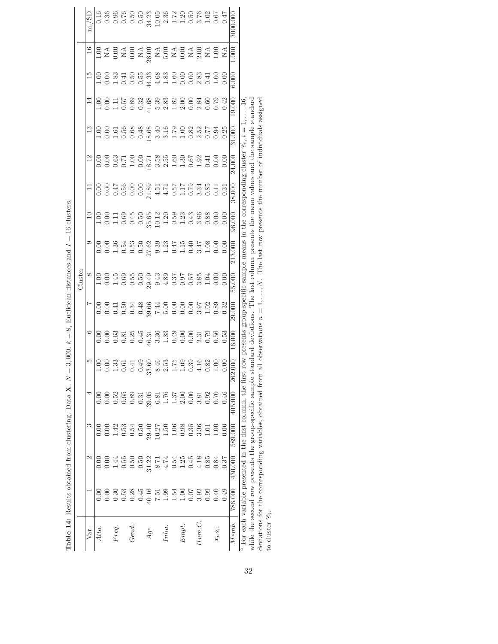|                     | <b>Table 14:</b> Results obtained from clustering. Data $X, N =$         |         |                                                            |         |                         |                       |        |          | 3,000, $k = 8$ , Euclidean distances and $I = 16$ clusters.                             |        |                           |        |                |                                                                                                                                                                                                                                                                                                                                                                                                             |       |       |          |
|---------------------|--------------------------------------------------------------------------|---------|------------------------------------------------------------|---------|-------------------------|-----------------------|--------|----------|-----------------------------------------------------------------------------------------|--------|---------------------------|--------|----------------|-------------------------------------------------------------------------------------------------------------------------------------------------------------------------------------------------------------------------------------------------------------------------------------------------------------------------------------------------------------------------------------------------------------|-------|-------|----------|
|                     |                                                                          |         |                                                            |         |                         |                       |        | Cluster  |                                                                                         |        |                           |        |                |                                                                                                                                                                                                                                                                                                                                                                                                             |       |       |          |
| Var.                |                                                                          | Z       |                                                            |         |                         |                       |        | $\infty$ |                                                                                         |        |                           |        |                |                                                                                                                                                                                                                                                                                                                                                                                                             |       |       | m./SD    |
| Atta.               |                                                                          | 0.00    | 0.00                                                       |         |                         |                       |        |          |                                                                                         |        |                           |        |                |                                                                                                                                                                                                                                                                                                                                                                                                             |       |       |          |
|                     |                                                                          |         |                                                            |         |                         |                       |        |          |                                                                                         |        |                           |        |                | $\begin{array}{ l }\hline \multicolumn{1}{ l }{0.0017}\hline \multicolumn{1}{ l }{0.0017}\hline \multicolumn{1}{ l }{0.0017}\hline \multicolumn{1}{ l }{0.0017}\hline \multicolumn{1}{ l }{0.0017}\hline \multicolumn{1}{ l }{0.0017}\hline \multicolumn{1}{ l }{0.0017}\hline \multicolumn{1}{ l }{0.0017}\hline \multicolumn{1}{ l }{0.0017}\hline \multicolumn{1}{ l }{0.0017}\hline \multicolumn{1}{ l$ |       |       |          |
| Freq.               | 0.30                                                                     | 1.44    | 1.42                                                       | 0.52    |                         |                       |        |          |                                                                                         |        |                           |        |                |                                                                                                                                                                                                                                                                                                                                                                                                             |       |       |          |
|                     | 0.53                                                                     |         | 0.53                                                       | 0.65    |                         |                       |        |          |                                                                                         |        |                           |        |                |                                                                                                                                                                                                                                                                                                                                                                                                             |       |       |          |
| Gend.               | 0.28                                                                     | 0.50    | 0.54                                                       | 0.89    |                         |                       |        |          |                                                                                         |        |                           |        |                |                                                                                                                                                                                                                                                                                                                                                                                                             |       |       |          |
|                     | 0.45                                                                     | 0.50    | 0.50                                                       | 0.31    |                         |                       |        |          |                                                                                         |        |                           |        |                |                                                                                                                                                                                                                                                                                                                                                                                                             |       |       |          |
| Age                 | 40.16                                                                    | 31.22   | 29.40                                                      | 39.05   | Õ                       |                       |        |          |                                                                                         |        |                           |        |                |                                                                                                                                                                                                                                                                                                                                                                                                             |       |       |          |
|                     | 15.7                                                                     | 8.71    | 10.27                                                      | 6.81    |                         |                       |        |          |                                                                                         |        |                           |        |                |                                                                                                                                                                                                                                                                                                                                                                                                             |       |       |          |
| Inha.               | 0.99                                                                     | 4.74    | 1.50                                                       | 1.76    |                         |                       |        |          |                                                                                         |        |                           |        |                |                                                                                                                                                                                                                                                                                                                                                                                                             |       |       |          |
|                     | 1.54                                                                     | 0.54    | 1.06                                                       | 1.37    |                         |                       |        |          |                                                                                         |        |                           |        |                |                                                                                                                                                                                                                                                                                                                                                                                                             |       |       |          |
| Empl.               | 1.00                                                                     | 1.25    | 0.98                                                       | 2.00    |                         |                       |        |          |                                                                                         |        |                           |        |                |                                                                                                                                                                                                                                                                                                                                                                                                             |       |       |          |
|                     | 0.07                                                                     | 0.45    | 0.35                                                       | 0.00    |                         |                       |        |          |                                                                                         |        |                           |        |                |                                                                                                                                                                                                                                                                                                                                                                                                             |       |       |          |
| Hum.C.              | 3.92                                                                     | 4.18    | 3.36                                                       | 3.81    |                         |                       |        |          |                                                                                         |        |                           |        |                |                                                                                                                                                                                                                                                                                                                                                                                                             |       |       |          |
|                     | 0.99                                                                     | 0.85    | 1.01                                                       | 0.92    |                         |                       |        |          |                                                                                         |        |                           |        |                |                                                                                                                                                                                                                                                                                                                                                                                                             |       |       |          |
| $x_{nS,\mathbf{1}}$ | 0.40                                                                     | 0.84    | 00.1                                                       | 0.70    |                         |                       |        |          |                                                                                         |        |                           |        |                |                                                                                                                                                                                                                                                                                                                                                                                                             |       |       |          |
|                     | 0.49                                                                     | 0.37    | 0.00                                                       | 0.46    |                         |                       |        |          |                                                                                         |        |                           |        |                |                                                                                                                                                                                                                                                                                                                                                                                                             |       |       |          |
| Memb.               | 786.000                                                                  | 430.000 | 589.000                                                    | 405.000 | $\frac{1}{000}$<br>262. | 16.000                | 29.000 | 55.000   | 213.000                                                                                 | 96.000 | 38.000                    | 24.000 | 31.000         | 19.000                                                                                                                                                                                                                                                                                                                                                                                                      | 6.000 | 1.000 | 3000.000 |
|                     | $\frac{a}{a}$ For each variable presented in the first column, the first |         | while the second row presents the group-specific sample st |         |                         | $tan1$ ard dariations |        |          | The last column presents the mean values<br>row presents group-specific sample means in |        | the corresponding cluster |        | and the cample | ndarı                                                                                                                                                                                                                                                                                                                                                                                                       |       |       |          |

| j                                                                  |
|--------------------------------------------------------------------|
| l<br>$\parallel$                                                   |
| l                                                                  |
| ī<br>ļ<br>i<br>l<br>Ï                                              |
| ï<br>l<br>l                                                        |
| X<br>ì                                                             |
| $\parallel$<br>֦֧֦֧֦֧֦֧֦֧֦֧֦֧֦֧֦֧֦֧֦֧֦֧֦֧֦֧ׅ֦֧֦֧ׅ֧֜֜֜֜֜֓֞֜֓֞֓<br>ć |
| j<br>$\sim$ $\sim$ $\sim$<br>١<br>j<br>i<br>j<br>I                 |
| ï                                                                  |
| i<br>i                                                             |
| I<br>ı                                                             |
| $\frac{1}{4}$<br>j<br>se a se                                      |
| ;                                                                  |
|                                                                    |
| Ï<br>į<br>ì<br>f                                                   |
| J<br>ł<br>I                                                        |
| Ì<br>Labl<br>ĺ<br>Ξ                                                |

while the second row presents the group-specific sample standard deviations. The last column presents the mean values and the sample standard deviations for the corresponding variables, obtained from all observations  $n =$ while the second row presents the group-specific sample standard deviations. The last column presents the mean values and the sample standard deviations for the corresponding variables, obtained from all observations  $n = 1, \ldots, N$ . The last row presents the number of individuals assigned to cluster  $\mathscr{C}_i$ .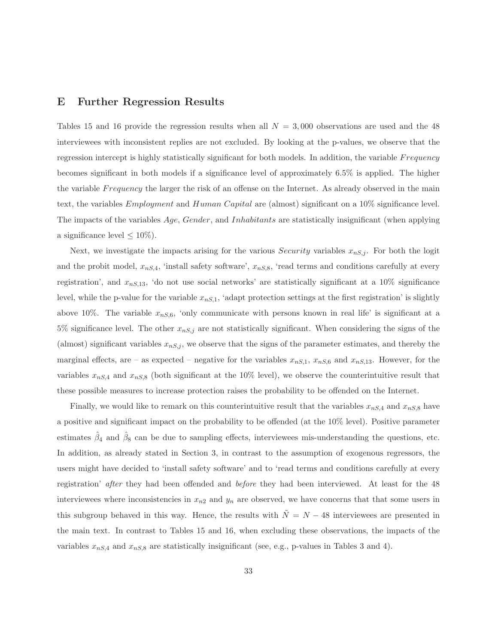#### **E Further Regression Results**

Tables 15 and 16 provide the regression results when all  $N = 3,000$  observations are used and the 48 interviewees with inconsistent replies are not excluded. By looking at the p-values, we observe that the regression intercept is highly statistically significant for both models. In addition, the variable F requency becomes significant in both models if a significance level of approximately 6.5% is applied. The higher the variable Frequency the larger the risk of an offense on the Internet. As already observed in the main text, the variables Employment and Human Capital are (almost) significant on a 10% significance level. The impacts of the variables Age, Gender, and Inhabitants are statistically insignificant (when applying a significance level  $\leq 10\%$ ).

Next, we investigate the impacts arising for the various *Security* variables  $x_{nS,j}$ . For both the logit and the probit model,  $x_{nS,4}$ , 'install safety software',  $x_{nS,8}$ , 'read terms and conditions carefully at every registration', and  $x_{nS,13}$ , 'do not use social networks' are statistically significant at a 10% significance level, while the p-value for the variable  $x_{nS,1}$ , 'adapt protection settings at the first registration' is slightly above 10%. The variable  $x_{n,S,6}$ , 'only communicate with persons known in real life' is significant at a 5% significance level. The other  $x_{nS,j}$  are not statistically significant. When considering the signs of the (almost) significant variables  $x_{n,s,j}$ , we observe that the signs of the parameter estimates, and thereby the marginal effects, are – as expected – negative for the variables  $x_{nS,1}$ ,  $x_{nS,6}$  and  $x_{nS,13}$ . However, for the variables  $x_{nS,4}$  and  $x_{nS,8}$  (both significant at the 10% level), we observe the counterintuitive result that these possible measures to increase protection raises the probability to be offended on the Internet.

Finally, we would like to remark on this counterintuitive result that the variables  $x_{nS,4}$  and  $x_{nS,8}$  have a positive and significant impact on the probability to be offended (at the 10% level). Positive parameter estimates  $\hat{\beta}_4$  and  $\hat{\beta}_8$  can be due to sampling effects, interviewees mis-understanding the questions, etc. In addition, as already stated in Section 3, in contrast to the assumption of exogenous regressors, the users might have decided to 'install safety software' and to 'read terms and conditions carefully at every registration' after they had been offended and before they had been interviewed. At least for the 48 interviewees where inconsistencies in  $x_{n2}$  and  $y_n$  are observed, we have concerns that that some users in this subgroup behaved in this way. Hence, the results with  $\tilde{N} = N - 48$  interviewees are presented in the main text. In contrast to Tables 15 and 16, when excluding these observations, the impacts of the variables  $x_{nS,4}$  and  $x_{nS,8}$  are statistically insignificant (see, e.g., p-values in Tables 3 and 4).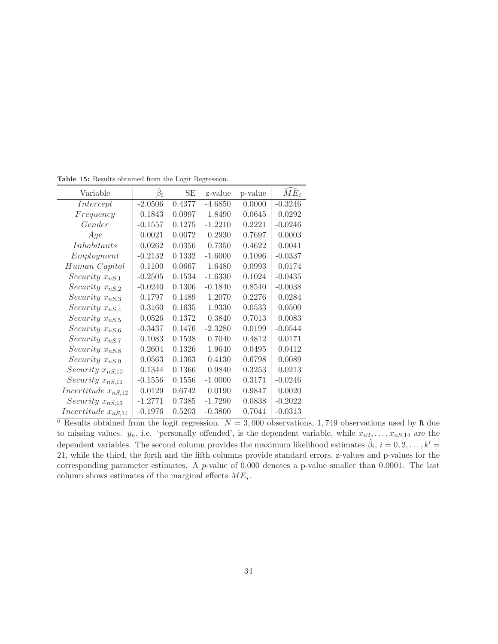| Variable                | $\beta_i$ | SE     | z-value   | p-value | $ME_i$    |
|-------------------------|-----------|--------|-----------|---------|-----------|
| Intercept               | $-2.0506$ | 0.4377 | $-4.6850$ | 0.0000  | $-0.3246$ |
| Frequency               | 0.1843    | 0.0997 | 1.8490    | 0.0645  | 0.0292    |
| Gender                  | $-0.1557$ | 0.1275 | $-1.2210$ | 0.2221  | $-0.0246$ |
| Age                     | 0.0021    | 0.0072 | 0.2930    | 0.7697  | 0.0003    |
| Inhabitants             | 0.0262    | 0.0356 | 0.7350    | 0.4622  | 0.0041    |
| Employment              | $-0.2132$ | 0.1332 | $-1.6000$ | 0.1096  | $-0.0337$ |
| Human Capital           | 0.1100    | 0.0667 | 1.6480    | 0.0993  | 0.0174    |
| Security $x_{nS,1}$     | $-0.2505$ | 0.1534 | $-1.6330$ | 0.1024  | $-0.0435$ |
| Security $x_{nS,2}$     | $-0.0240$ | 0.1306 | $-0.1840$ | 0.8540  | $-0.0038$ |
| Security $x_{nS,3}$     | 0.1797    | 0.1489 | 1.2070    | 0.2276  | 0.0284    |
| Security $x_{nS,4}$     | 0.3160    | 0.1635 | 1.9330    | 0.0533  | 0.0500    |
| Security $x_{nS,5}$     | 0.0526    | 0.1372 | 0.3840    | 0.7013  | 0.0083    |
| Security $x_{nS,6}$     | $-0.3437$ | 0.1476 | $-2.3280$ | 0.0199  | $-0.0544$ |
| Security $x_{nS,7}$     | 0.1083    | 0.1538 | 0.7040    | 0.4812  | 0.0171    |
| Security $x_{nS,8}$     | 0.2604    | 0.1326 | 1.9640    | 0.0495  | 0.0412    |
| Security $x_{nS,9}$     | 0.0563    | 0.1363 | 0.4130    | 0.6798  | 0.0089    |
| Security $x_{nS,10}$    | 0.1344    | 0.1366 | 0.9840    | 0.3253  | 0.0213    |
| Security $x_{nS,11}$    | $-0.1556$ | 0.1556 | $-1.0000$ | 0.3171  | $-0.0246$ |
| Incertitude $x_{nS,12}$ | 0.0129    | 0.6742 | 0.0190    | 0.9847  | 0.0020    |
| Security $x_{nS,13}$    | $-1.2771$ | 0.7385 | $-1.7290$ | 0.0838  | $-0.2022$ |
| Incertitude $x_{nS,14}$ | $-0.1976$ | 0.5203 | $-0.3800$ | 0.7041  | $-0.0313$ |

**Table 15:** Results obtained from the Logit Regression.

<sup>a</sup> Results obtained from the logit regression.  $N = 3,000$  observations, 1,749 observations used by R due to missing values.  $y_n$ , i.e. 'personally offended', is the dependent variable, while  $x_{n2},...,x_{nS,14}$  are the dependent variables. The second column provides the maximum likelihood estimates  $\hat{\beta}_i$ ,  $i = 0, 2, \ldots, k' =$ 21, while the third, the forth and the fifth columns provide standard errors, z-values and p-values for the corresponding parameter estimates. A  $p$ -value of 0.000 denotes a p-value smaller than 0.0001. The last column shows estimates of the marginal effects  $ME_i$ .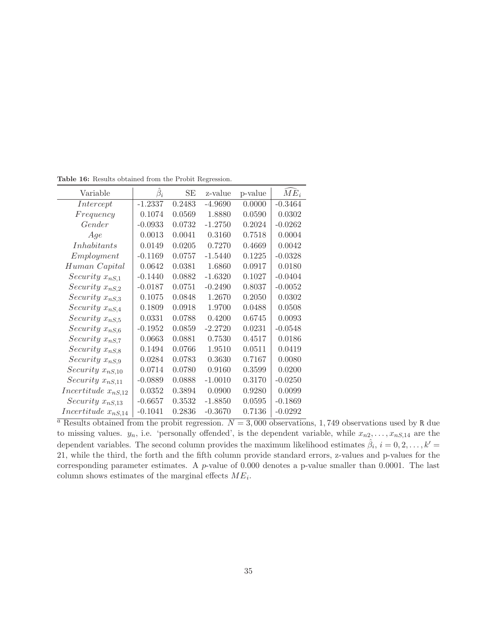| Variable                | $\beta_i$ | SЕ     | z-value   | p-value | $ME_i$    |
|-------------------------|-----------|--------|-----------|---------|-----------|
| Intercept               | $-1.2337$ | 0.2483 | $-4.9690$ | 0.0000  | $-0.3464$ |
| Frequency               | 0.1074    | 0.0569 | 1.8880    | 0.0590  | 0.0302    |
| Gender                  | $-0.0933$ | 0.0732 | $-1.2750$ | 0.2024  | $-0.0262$ |
| Age                     | 0.0013    | 0.0041 | 0.3160    | 0.7518  | 0.0004    |
| Inhabitants             | 0.0149    | 0.0205 | 0.7270    | 0.4669  | 0.0042    |
| Employment              | $-0.1169$ | 0.0757 | $-1.5440$ | 0.1225  | $-0.0328$ |
| Human Capital           | 0.0642    | 0.0381 | 1.6860    | 0.0917  | 0.0180    |
| Security $x_{nS,1}$     | $-0.1440$ | 0.0882 | $-1.6320$ | 0.1027  | $-0.0404$ |
| Security $x_{nS,2}$     | $-0.0187$ | 0.0751 | $-0.2490$ | 0.8037  | $-0.0052$ |
| Security $x_{nS,3}$     | 0.1075    | 0.0848 | 1.2670    | 0.2050  | 0.0302    |
| Security $x_{nS,4}$     | 0.1809    | 0.0918 | 1.9700    | 0.0488  | 0.0508    |
| Security $x_{nS,5}$     | 0.0331    | 0.0788 | 0.4200    | 0.6745  | 0.0093    |
| Security $x_{nS,6}$     | $-0.1952$ | 0.0859 | $-2.2720$ | 0.0231  | $-0.0548$ |
| Security $x_{nS,7}$     | 0.0663    | 0.0881 | 0.7530    | 0.4517  | 0.0186    |
| Security $x_{nS,8}$     | 0.1494    | 0.0766 | 1.9510    | 0.0511  | 0.0419    |
| Security $x_{nS,9}$     | 0.0284    | 0.0783 | 0.3630    | 0.7167  | 0.0080    |
| Security $x_{nS,10}$    | 0.0714    | 0.0780 | 0.9160    | 0.3599  | 0.0200    |
| Security $x_{nS,11}$    | $-0.0889$ | 0.0888 | $-1.0010$ | 0.3170  | $-0.0250$ |
| Incertitude $x_{nS,12}$ | 0.0352    | 0.3894 | 0.0900    | 0.9280  | 0.0099    |
| Security $x_{nS,13}$    | $-0.6657$ | 0.3532 | $-1.8850$ | 0.0595  | $-0.1869$ |
| Incertitude $x_{nS,14}$ | $-0.1041$ | 0.2836 | $-0.3670$ | 0.7136  | $-0.0292$ |

**Table 16:** Results obtained from the Probit Regression.

<sup>a</sup> Results obtained from the probit regression.  $N = 3,000$  observations, 1,749 observations used by R due to missing values.  $y_n$ , i.e. 'personally offended', is the dependent variable, while  $x_{n2},...,x_{nS,14}$  are the dependent variables. The second column provides the maximum likelihood estimates  $\hat{\beta}_i$ ,  $i = 0, 2, \ldots, k' =$ 21, while the third, the forth and the fifth column provide standard errors, z-values and p-values for the corresponding parameter estimates. A  $p$ -value of 0.000 denotes a p-value smaller than 0.0001. The last column shows estimates of the marginal effects  $ME_i$ .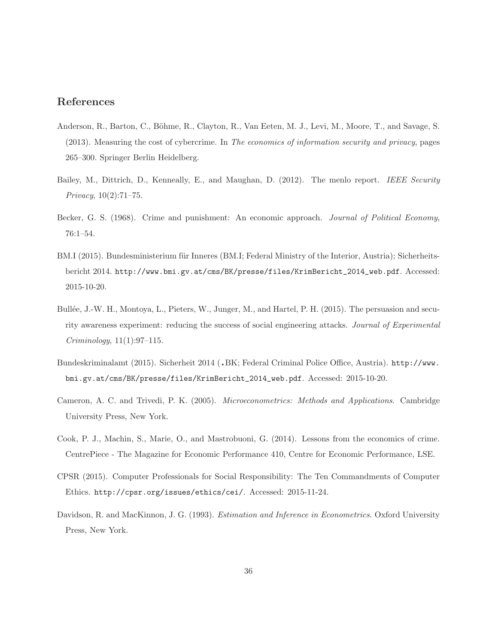## **References**

- Anderson, R., Barton, C., Böhme, R., Clayton, R., Van Eeten, M. J., Levi, M., Moore, T., and Savage, S. (2013). Measuring the cost of cybercrime. In The economics of information security and privacy, pages 265–300. Springer Berlin Heidelberg.
- Bailey, M., Dittrich, D., Kenneally, E., and Maughan, D. (2012). The menlo report. IEEE Security Privacy, 10(2):71–75.
- Becker, G. S. (1968). Crime and punishment: An economic approach. Journal of Political Economy, 76:1–54.
- BM.I (2015). Bundesministerium für Inneres (BM.I; Federal Ministry of the Interior, Austria); Sicherheitsbericht 2014. http://www.bmi.gv.at/cms/BK/presse/files/KrimBericht\_2014\_web.pdf. Accessed: 2015-10-20.
- Bullée, J.-W. H., Montoya, L., Pieters, W., Junger, M., and Hartel, P. H. (2015). The persuasion and security awareness experiment: reducing the success of social engineering attacks. Journal of Experimental Criminology, 11(1):97–115.
- Bundeskriminalamt (2015). Sicherheit 2014 (.BK; Federal Criminal Police Office, Austria). http://www. bmi.gv.at/cms/BK/presse/files/KrimBericht\_2014\_web.pdf. Accessed: 2015-10-20.
- Cameron, A. C. and Trivedi, P. K. (2005). Microeconometrics: Methods and Applications. Cambridge University Press, New York.
- Cook, P. J., Machin, S., Marie, O., and Mastrobuoni, G. (2014). Lessons from the economics of crime. CentrePiece - The Magazine for Economic Performance 410, Centre for Economic Performance, LSE.
- CPSR (2015). Computer Professionals for Social Responsibility: The Ten Commandments of Computer Ethics. http://cpsr.org/issues/ethics/cei/. Accessed: 2015-11-24.
- Davidson, R. and MacKinnon, J. G. (1993). *Estimation and Inference in Econometrics*. Oxford University Press, New York.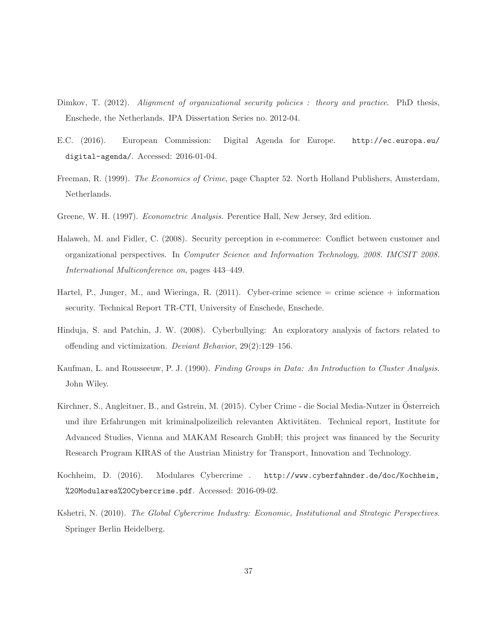- Dimkov, T. (2012). Alignment of organizational security policies : theory and practice. PhD thesis, Enschede, the Netherlands. IPA Dissertation Series no. 2012-04.
- E.C. (2016). European Commission: Digital Agenda for Europe. http://ec.europa.eu/ digital-agenda/. Accessed: 2016-01-04.
- Freeman, R. (1999). The Economics of Crime, page Chapter 52. North Holland Publishers, Amsterdam, Netherlands.
- Greene, W. H. (1997). Econometric Analysis. Perentice Hall, New Jersey, 3rd edition.
- Halaweh, M. and Fidler, C. (2008). Security perception in e-commerce: Conflict between customer and organizational perspectives. In Computer Science and Information Technology, 2008. IMCSIT 2008. International Multiconference on, pages 443–449.
- Hartel, P., Junger, M., and Wieringa, R. (2011). Cyber-crime science = crime science + information security. Technical Report TR-CTI, University of Enschede, Enschede.
- Hinduja, S. and Patchin, J. W. (2008). Cyberbullying: An exploratory analysis of factors related to offending and victimization. Deviant Behavior, 29(2):129–156.
- Kaufman, L. and Rousseeuw, P. J. (1990). Finding Groups in Data: An Introduction to Cluster Analysis. John Wiley.
- Kirchner, S., Angleitner, B., and Gstrein, M. (2015). Cyber Crime die Social Media-Nutzer in Osterreich ¨ und ihre Erfahrungen mit kriminalpolizeilich relevanten Aktivitäten. Technical report, Institute for Advanced Studies, Vienna and MAKAM Research GmbH; this project was financed by the Security Research Program KIRAS of the Austrian Ministry for Transport, Innovation and Technology.
- Kochheim, D. (2016). Modulares Cybercrime . http://www.cyberfahnder.de/doc/Kochheim, %20Modulares%20Cybercrime.pdf. Accessed: 2016-09-02.
- Kshetri, N. (2010). The Global Cybercrime Industry: Economic, Institutional and Strategic Perspectives. Springer Berlin Heidelberg.